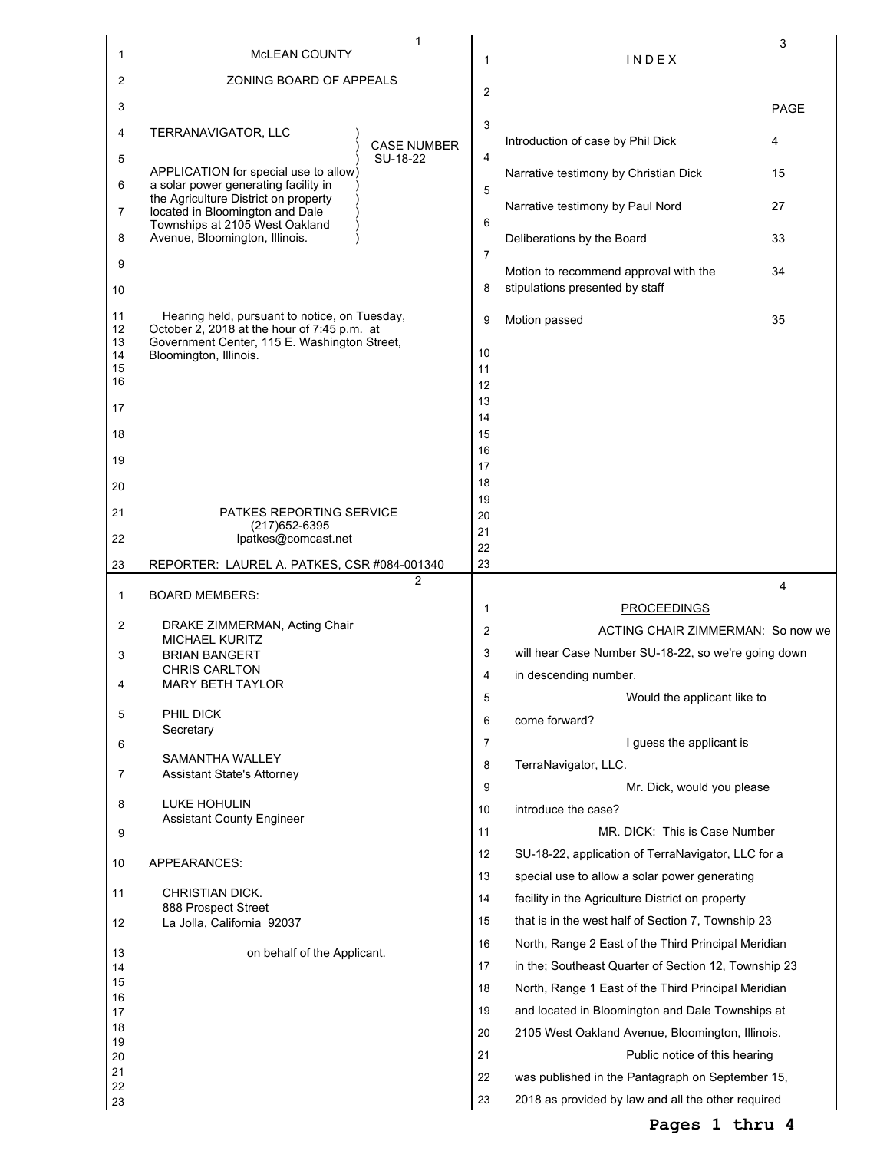| 1        | 1<br><b>MCLEAN COUNTY</b>                                                                    | 1              | INDEX                                                                                                  | 3    |
|----------|----------------------------------------------------------------------------------------------|----------------|--------------------------------------------------------------------------------------------------------|------|
| 2        | ZONING BOARD OF APPEALS                                                                      | $\overline{2}$ |                                                                                                        |      |
| 3        |                                                                                              |                |                                                                                                        | PAGE |
| 4        | TERRANAVIGATOR, LLC<br><b>CASE NUMBER</b>                                                    | 3              | Introduction of case by Phil Dick                                                                      | 4    |
| 5        | SU-18-22<br>APPLICATION for special use to allow)                                            | 4              |                                                                                                        | 15   |
| 6        | a solar power generating facility in<br>the Agriculture District on property                 | 5              | Narrative testimony by Christian Dick                                                                  |      |
| 7        | located in Bloomington and Dale<br>Townships at 2105 West Oakland                            | 6              | Narrative testimony by Paul Nord                                                                       | 27   |
| 8        | Avenue, Bloomington, Illinois.                                                               |                | Deliberations by the Board                                                                             | 33   |
| 9        |                                                                                              | 7              | Motion to recommend approval with the                                                                  | 34   |
| 10       |                                                                                              | 8              | stipulations presented by staff                                                                        |      |
| 11<br>12 | Hearing held, pursuant to notice, on Tuesday,<br>October 2, 2018 at the hour of 7:45 p.m. at | 9              | Motion passed                                                                                          | 35   |
| 13<br>14 | Government Center, 115 E. Washington Street,<br>Bloomington, Illinois.                       | 10             |                                                                                                        |      |
| 15<br>16 |                                                                                              | 11             |                                                                                                        |      |
|          |                                                                                              | 12<br>13       |                                                                                                        |      |
| 17       |                                                                                              | 14             |                                                                                                        |      |
| 18       |                                                                                              | 15             |                                                                                                        |      |
| 19       |                                                                                              | 16<br>17       |                                                                                                        |      |
| 20       |                                                                                              | 18             |                                                                                                        |      |
|          |                                                                                              | 19             |                                                                                                        |      |
| 21       | <b>PATKES REPORTING SERVICE</b><br>(217) 652-6395                                            | 20<br>21       |                                                                                                        |      |
| 22       | lpatkes@comcast.net                                                                          | 22             |                                                                                                        |      |
| 23       | REPORTER: LAUREL A. PATKES, CSR #084-001340                                                  | 23             |                                                                                                        |      |
| 1        | $\overline{c}$<br><b>BOARD MEMBERS:</b>                                                      |                |                                                                                                        | 4    |
|          |                                                                                              | 1              | <b>PROCEEDINGS</b>                                                                                     |      |
| 2        | DRAKE ZIMMERMAN, Acting Chair<br><b>MICHAEL KURITZ</b>                                       | 2              | ACTING CHAIR ZIMMERMAN: So now we                                                                      |      |
| 3        | <b>BRIAN BANGERT</b>                                                                         | 3              | will hear Case Number SU-18-22, so we're going down                                                    |      |
| 4        | <b>CHRIS CARLTON</b><br>MARY BETH TAYLOR                                                     | 4              | in descending number.                                                                                  |      |
|          |                                                                                              | 5              | Would the applicant like to                                                                            |      |
| 5        | PHIL DICK<br>Secretary                                                                       | 6              | come forward?                                                                                          |      |
| 6        |                                                                                              | 7              | I guess the applicant is                                                                               |      |
| 7        | SAMANTHA WALLEY<br>Assistant State's Attorney                                                | 8              | TerraNavigator, LLC.                                                                                   |      |
|          |                                                                                              | 9              | Mr. Dick, would you please                                                                             |      |
| 8        | LUKE HOHULIN<br><b>Assistant County Engineer</b>                                             | 10             | introduce the case?                                                                                    |      |
| 9        |                                                                                              | 11             | MR. DICK: This is Case Number                                                                          |      |
| 10       | APPEARANCES:                                                                                 | 12             | SU-18-22, application of TerraNavigator, LLC for a                                                     |      |
|          |                                                                                              | 13             | special use to allow a solar power generating                                                          |      |
| 11       | <b>CHRISTIAN DICK.</b><br>888 Prospect Street                                                | 14             | facility in the Agriculture District on property                                                       |      |
| 12       | La Jolla, California 92037                                                                   | 15             | that is in the west half of Section 7, Township 23                                                     |      |
| 13       | on behalf of the Applicant.                                                                  | 16             | North, Range 2 East of the Third Principal Meridian                                                    |      |
| 14       |                                                                                              | 17             | in the; Southeast Quarter of Section 12, Township 23                                                   |      |
| 15       |                                                                                              | 18             | North, Range 1 East of the Third Principal Meridian                                                    |      |
| 16<br>17 |                                                                                              | 19             | and located in Bloomington and Dale Townships at                                                       |      |
| 18       |                                                                                              | 20             | 2105 West Oakland Avenue, Bloomington, Illinois.                                                       |      |
| 19<br>20 |                                                                                              | 21             | Public notice of this hearing                                                                          |      |
| 21       |                                                                                              |                |                                                                                                        |      |
|          |                                                                                              | 22             |                                                                                                        |      |
| 22<br>23 |                                                                                              | 23             | was published in the Pantagraph on September 15,<br>2018 as provided by law and all the other required |      |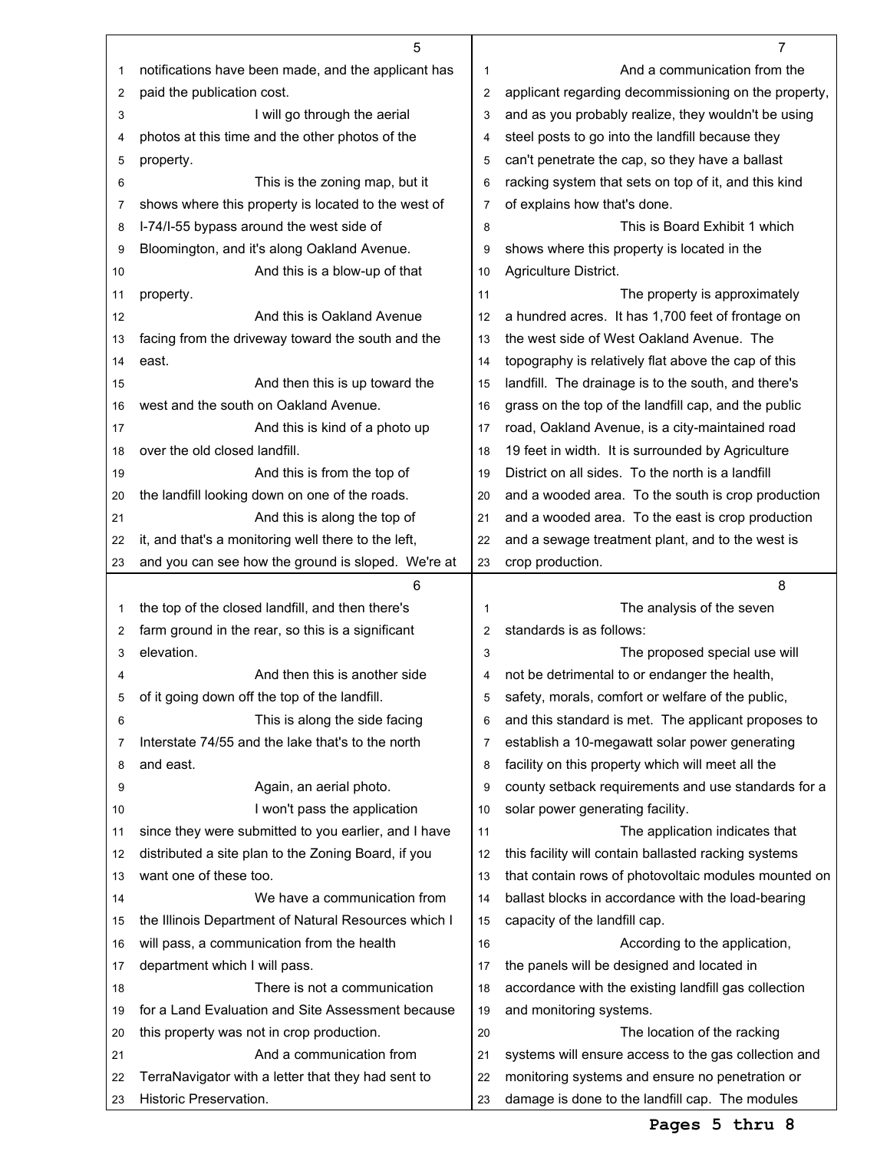|    | 5                                                    |                | 7                                                    |
|----|------------------------------------------------------|----------------|------------------------------------------------------|
| 1  | notifications have been made, and the applicant has  | 1              | And a communication from the                         |
| 2  | paid the publication cost.                           | $\overline{2}$ | applicant regarding decommissioning on the property, |
| 3  | I will go through the aerial                         | 3              | and as you probably realize, they wouldn't be using  |
| 4  | photos at this time and the other photos of the      | 4              | steel posts to go into the landfill because they     |
| 5  | property.                                            | 5              | can't penetrate the cap, so they have a ballast      |
| 6  | This is the zoning map, but it                       | 6              | racking system that sets on top of it, and this kind |
| 7  | shows where this property is located to the west of  | 7              | of explains how that's done.                         |
| 8  | I-74/I-55 bypass around the west side of             | 8              | This is Board Exhibit 1 which                        |
| 9  | Bloomington, and it's along Oakland Avenue.          | 9              | shows where this property is located in the          |
| 10 | And this is a blow-up of that                        | 10             | Agriculture District.                                |
| 11 | property.                                            | 11             | The property is approximately                        |
| 12 | And this is Oakland Avenue                           | 12             | a hundred acres. It has 1,700 feet of frontage on    |
| 13 | facing from the driveway toward the south and the    | 13             | the west side of West Oakland Avenue. The            |
| 14 | east.                                                | 14             | topography is relatively flat above the cap of this  |
| 15 | And then this is up toward the                       | 15             | landfill. The drainage is to the south, and there's  |
| 16 | west and the south on Oakland Avenue.                | 16             | grass on the top of the landfill cap, and the public |
| 17 | And this is kind of a photo up                       | 17             | road, Oakland Avenue, is a city-maintained road      |
| 18 | over the old closed landfill.                        | 18             | 19 feet in width. It is surrounded by Agriculture    |
| 19 | And this is from the top of                          | 19             | District on all sides. To the north is a landfill    |
| 20 | the landfill looking down on one of the roads.       | 20             | and a wooded area. To the south is crop production   |
| 21 | And this is along the top of                         | 21             | and a wooded area. To the east is crop production    |
| 22 | it, and that's a monitoring well there to the left,  | 22             | and a sewage treatment plant, and to the west is     |
| 23 | and you can see how the ground is sloped. We're at   | 23             | crop production.                                     |
|    |                                                      |                |                                                      |
|    | 6                                                    |                | 8                                                    |
| 1  | the top of the closed landfill, and then there's     | 1              | The analysis of the seven                            |
| 2  | farm ground in the rear, so this is a significant    | $\overline{c}$ | standards is as follows:                             |
| 3  | elevation.                                           | 3              | The proposed special use will                        |
| 4  | And then this is another side                        | 4              | not be detrimental to or endanger the health,        |
| 5  | of it going down off the top of the landfill.        | 5              | safety, morals, comfort or welfare of the public,    |
| 6  | This is along the side facing                        | 6              | and this standard is met. The applicant proposes to  |
| 7  | Interstate 74/55 and the lake that's to the north    | 7              | establish a 10-megawatt solar power generating       |
| 8  | and east.                                            | 8              | facility on this property which will meet all the    |
| 9  | Again, an aerial photo.                              | 9              | county setback requirements and use standards for a  |
| 10 | I won't pass the application                         | 10             | solar power generating facility.                     |
| 11 | since they were submitted to you earlier, and I have | 11             | The application indicates that                       |
| 12 | distributed a site plan to the Zoning Board, if you  | 12             | this facility will contain ballasted racking systems |
| 13 | want one of these too.                               | 13             | that contain rows of photovoltaic modules mounted on |
| 14 | We have a communication from                         | 14             | ballast blocks in accordance with the load-bearing   |
| 15 | the Illinois Department of Natural Resources which I | 15             | capacity of the landfill cap.                        |
| 16 | will pass, a communication from the health           | 16             | According to the application,                        |
| 17 | department which I will pass.                        | 17             | the panels will be designed and located in           |
| 18 | There is not a communication                         | 18             | accordance with the existing landfill gas collection |
| 19 | for a Land Evaluation and Site Assessment because    | 19             | and monitoring systems.                              |
| 20 | this property was not in crop production.            | 20             | The location of the racking                          |
| 21 | And a communication from                             | 21             | systems will ensure access to the gas collection and |
| 22 | TerraNavigator with a letter that they had sent to   | 22             | monitoring systems and ensure no penetration or      |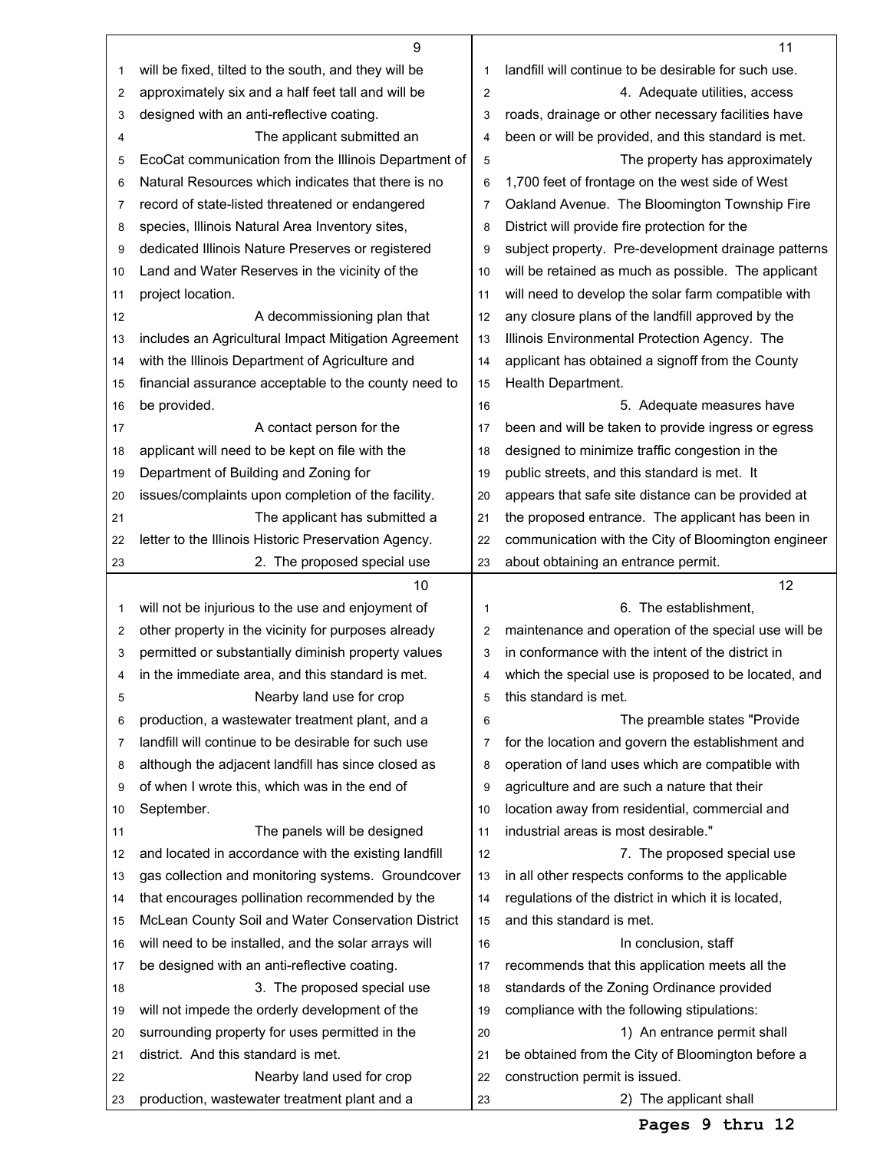|    | 9                                                    |                | 11                                                   |
|----|------------------------------------------------------|----------------|------------------------------------------------------|
| 1  | will be fixed, tilted to the south, and they will be | 1              | landfill will continue to be desirable for such use. |
| 2  | approximately six and a half feet tall and will be   | $\overline{2}$ | 4. Adequate utilities, access                        |
| 3  | designed with an anti-reflective coating.            | 3              | roads, drainage or other necessary facilities have   |
| 4  | The applicant submitted an                           | $\overline{4}$ | been or will be provided, and this standard is met.  |
| 5  | EcoCat communication from the Illinois Department of | 5              | The property has approximately                       |
| 6  | Natural Resources which indicates that there is no   | 6              | 1,700 feet of frontage on the west side of West      |
| 7  | record of state-listed threatened or endangered      | $\overline{7}$ | Oakland Avenue. The Bloomington Township Fire        |
| 8  | species, Illinois Natural Area Inventory sites,      | 8              | District will provide fire protection for the        |
| 9  | dedicated Illinois Nature Preserves or registered    | 9              | subject property. Pre-development drainage patterns  |
| 10 | Land and Water Reserves in the vicinity of the       | 10             | will be retained as much as possible. The applicant  |
| 11 | project location.                                    | 11             | will need to develop the solar farm compatible with  |
| 12 | A decommissioning plan that                          | 12             | any closure plans of the landfill approved by the    |
| 13 | includes an Agricultural Impact Mitigation Agreement | 13             | Illinois Environmental Protection Agency. The        |
| 14 | with the Illinois Department of Agriculture and      | 14             | applicant has obtained a signoff from the County     |
| 15 | financial assurance acceptable to the county need to | 15             | Health Department.                                   |
| 16 | be provided.                                         | 16             | 5. Adequate measures have                            |
| 17 | A contact person for the                             | 17             | been and will be taken to provide ingress or egress  |
| 18 | applicant will need to be kept on file with the      | 18             | designed to minimize traffic congestion in the       |
| 19 | Department of Building and Zoning for                | 19             | public streets, and this standard is met. It         |
| 20 | issues/complaints upon completion of the facility.   | 20             | appears that safe site distance can be provided at   |
| 21 | The applicant has submitted a                        | 21             | the proposed entrance. The applicant has been in     |
| 22 | letter to the Illinois Historic Preservation Agency. | 22             | communication with the City of Bloomington engineer  |
| 23 | 2. The proposed special use                          | 23             | about obtaining an entrance permit.                  |
|    |                                                      |                |                                                      |
|    |                                                      |                |                                                      |
|    | 10                                                   |                | 12                                                   |
| 1  | will not be injurious to the use and enjoyment of    | 1              | 6. The establishment.                                |
| 2  | other property in the vicinity for purposes already  | $\overline{2}$ | maintenance and operation of the special use will be |
| 3  | permitted or substantially diminish property values  | 3              | in conformance with the intent of the district in    |
| 4  | in the immediate area, and this standard is met.     | 4              | which the special use is proposed to be located, and |
| 5  | Nearby land use for crop                             | 5              | this standard is met.                                |
| 6  | production, a wastewater treatment plant, and a      | 6              | The preamble states "Provide"                        |
| 7  | landfill will continue to be desirable for such use  | 7              | for the location and govern the establishment and    |
| 8  | although the adjacent landfill has since closed as   | 8              | operation of land uses which are compatible with     |
| 9  | of when I wrote this, which was in the end of        | 9              | agriculture and are such a nature that their         |
| 10 | September.                                           | 10             | location away from residential, commercial and       |
| 11 | The panels will be designed                          | 11             | industrial areas is most desirable."                 |
| 12 | and located in accordance with the existing landfill | 12             | 7. The proposed special use                          |
| 13 | gas collection and monitoring systems. Groundcover   | 13             | in all other respects conforms to the applicable     |
| 14 | that encourages pollination recommended by the       | 14             | regulations of the district in which it is located,  |
| 15 | McLean County Soil and Water Conservation District   | 15             | and this standard is met.                            |
| 16 | will need to be installed, and the solar arrays will | 16             | In conclusion, staff                                 |
| 17 | be designed with an anti-reflective coating.         | 17             | recommends that this application meets all the       |
| 18 | 3. The proposed special use                          | 18             | standards of the Zoning Ordinance provided           |
| 19 | will not impede the orderly development of the       | 19             | compliance with the following stipulations:          |
| 20 | surrounding property for uses permitted in the       | 20             | 1) An entrance permit shall                          |
| 21 | district. And this standard is met.                  | 21             | be obtained from the City of Bloomington before a    |
| 22 | Nearby land used for crop                            | 22             | construction permit is issued.                       |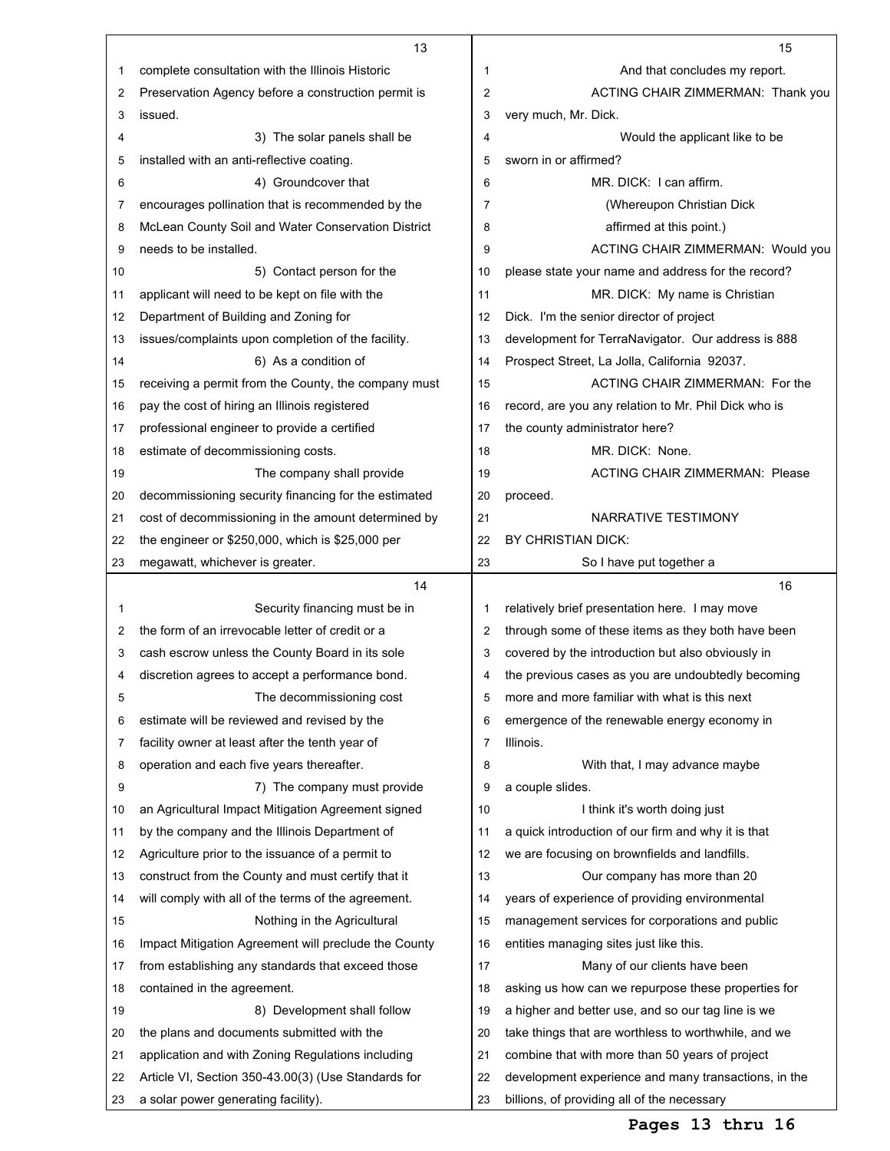|    | 13                                                   |                | 15                                                   |
|----|------------------------------------------------------|----------------|------------------------------------------------------|
| 1  | complete consultation with the Illinois Historic     | 1              | And that concludes my report.                        |
| 2  | Preservation Agency before a construction permit is  | $\overline{2}$ | ACTING CHAIR ZIMMERMAN: Thank you                    |
| 3  | issued.                                              | 3              | very much, Mr. Dick.                                 |
| 4  | 3) The solar panels shall be                         | 4              | Would the applicant like to be                       |
| 5  | installed with an anti-reflective coating.           | 5              | sworn in or affirmed?                                |
| 6  | 4) Groundcover that                                  | 6              | MR. DICK: I can affirm.                              |
| 7  | encourages pollination that is recommended by the    | $\overline{7}$ | (Whereupon Christian Dick)                           |
| 8  | McLean County Soil and Water Conservation District   | 8              | affirmed at this point.)                             |
| 9  | needs to be installed.                               | 9              | ACTING CHAIR ZIMMERMAN: Would you                    |
| 10 | 5) Contact person for the                            | 10             | please state your name and address for the record?   |
| 11 | applicant will need to be kept on file with the      | 11             | MR. DICK: My name is Christian                       |
| 12 | Department of Building and Zoning for                | 12             | Dick. I'm the senior director of project             |
| 13 | issues/complaints upon completion of the facility.   | 13             | development for TerraNavigator. Our address is 888   |
| 14 | 6) As a condition of                                 | 14             | Prospect Street, La Jolla, California 92037.         |
| 15 | receiving a permit from the County, the company must | 15             | ACTING CHAIR ZIMMERMAN: For the                      |
| 16 | pay the cost of hiring an Illinois registered        | 16             | record, are you any relation to Mr. Phil Dick who is |
| 17 | professional engineer to provide a certified         | 17             | the county administrator here?                       |
| 18 | estimate of decommissioning costs.                   | 18             | MR. DICK: None.                                      |
| 19 | The company shall provide                            | 19             | <b>ACTING CHAIR ZIMMERMAN: Please</b>                |
| 20 | decommissioning security financing for the estimated | 20             | proceed.                                             |
| 21 | cost of decommissioning in the amount determined by  | 21             | NARRATIVE TESTIMONY                                  |
| 22 | the engineer or \$250,000, which is \$25,000 per     | 22             | BY CHRISTIAN DICK:                                   |
| 23 | megawatt, whichever is greater.                      | 23             | So I have put together a                             |
|    | 14                                                   |                | 16                                                   |
| 1  | Security financing must be in                        | 1              | relatively brief presentation here. I may move       |
| 2  | the form of an irrevocable letter of credit or a     | 2              | through some of these items as they both have been   |
| 3  | cash escrow unless the County Board in its sole      | 3              | covered by the introduction but also obviously in    |
| 4  | discretion agrees to accept a performance bond.      | 4              | the previous cases as you are undoubtedly becoming   |
| 5  | The decommissioning cost                             | 5              | more and more familiar with what is this next        |
| 6  | estimate will be reviewed and revised by the         | 6              | emergence of the renewable energy economy in         |
| 7  | facility owner at least after the tenth year of      | 7              | Illinois.                                            |
| 8  | operation and each five years thereafter.            | 8              | With that, I may advance maybe                       |
| 9  | 7) The company must provide                          | 9              | a couple slides.                                     |
| 10 | an Agricultural Impact Mitigation Agreement signed   | 10             | I think it's worth doing just                        |
| 11 | by the company and the Illinois Department of        | 11             | a quick introduction of our firm and why it is that  |
| 12 | Agriculture prior to the issuance of a permit to     | 12             | we are focusing on brownfields and landfills.        |
| 13 | construct from the County and must certify that it   | 13             | Our company has more than 20                         |
| 14 | will comply with all of the terms of the agreement.  | 14             | years of experience of providing environmental       |
| 15 | Nothing in the Agricultural                          | 15             | management services for corporations and public      |
| 16 | Impact Mitigation Agreement will preclude the County | 16             | entities managing sites just like this.              |
| 17 | from establishing any standards that exceed those    | 17             | Many of our clients have been                        |
| 18 | contained in the agreement.                          | 18             | asking us how can we repurpose these properties for  |
| 19 | 8) Development shall follow                          | 19             | a higher and better use, and so our tag line is we   |
| 20 | the plans and documents submitted with the           | 20             | take things that are worthless to worthwhile, and we |
|    |                                                      |                |                                                      |
| 21 | application and with Zoning Regulations including    | 21             | combine that with more than 50 years of project      |
| 22 | Article VI, Section 350-43.00(3) (Use Standards for  | 22             | development experience and many transactions, in the |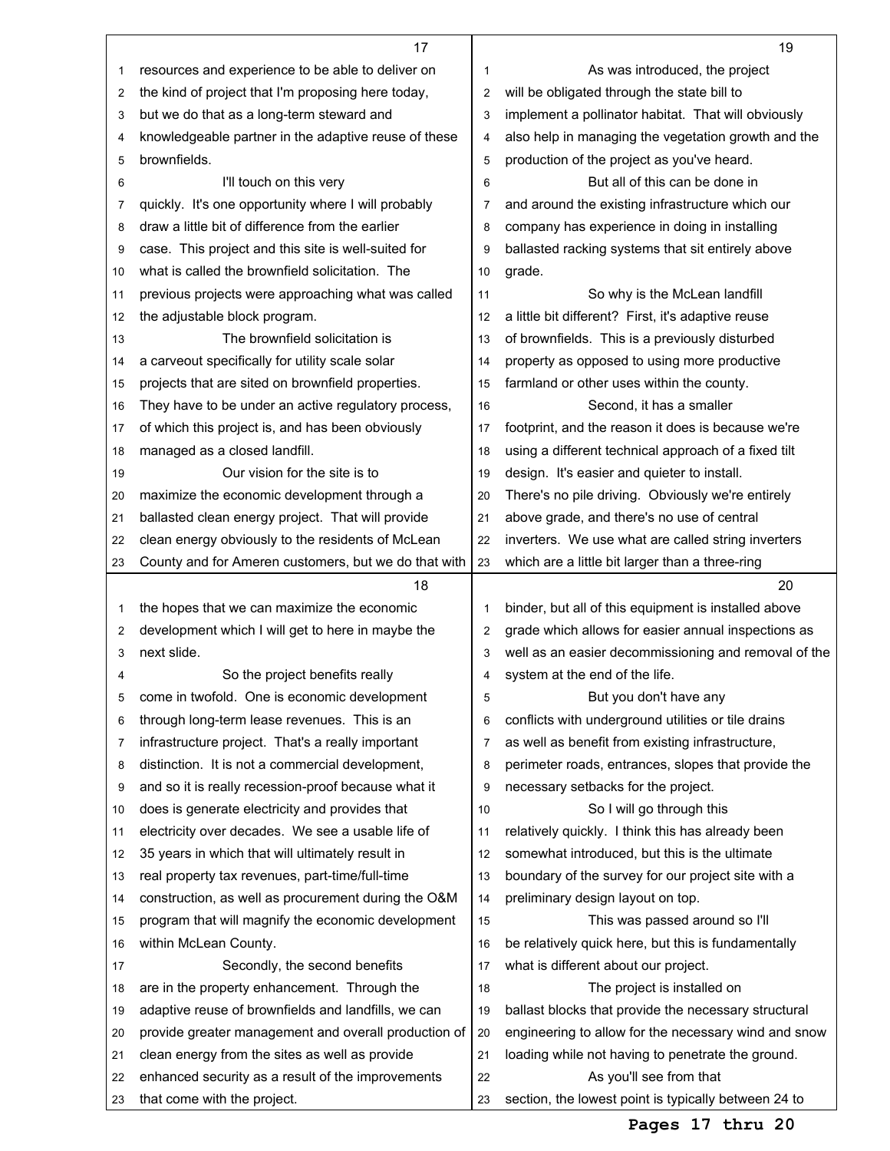|    | 17                                                   |    | 19                                                   |
|----|------------------------------------------------------|----|------------------------------------------------------|
| 1  | resources and experience to be able to deliver on    | 1  | As was introduced, the project                       |
| 2  | the kind of project that I'm proposing here today,   | 2  | will be obligated through the state bill to          |
| 3  | but we do that as a long-term steward and            | 3  | implement a pollinator habitat. That will obviously  |
| 4  | knowledgeable partner in the adaptive reuse of these | 4  | also help in managing the vegetation growth and the  |
| 5  | brownfields.                                         | 5  | production of the project as you've heard.           |
| 6  | I'll touch on this very                              | 6  | But all of this can be done in                       |
| 7  | quickly. It's one opportunity where I will probably  | 7  | and around the existing infrastructure which our     |
| 8  | draw a little bit of difference from the earlier     | 8  | company has experience in doing in installing        |
| 9  | case. This project and this site is well-suited for  | 9  | ballasted racking systems that sit entirely above    |
| 10 | what is called the brownfield solicitation. The      | 10 | grade.                                               |
| 11 | previous projects were approaching what was called   | 11 | So why is the McLean landfill                        |
| 12 | the adjustable block program.                        | 12 | a little bit different? First, it's adaptive reuse   |
| 13 | The brownfield solicitation is                       | 13 | of brownfields. This is a previously disturbed       |
| 14 | a carveout specifically for utility scale solar      | 14 | property as opposed to using more productive         |
| 15 | projects that are sited on brownfield properties.    | 15 | farmland or other uses within the county.            |
| 16 | They have to be under an active regulatory process,  | 16 | Second, it has a smaller                             |
| 17 | of which this project is, and has been obviously     | 17 | footprint, and the reason it does is because we're   |
| 18 | managed as a closed landfill.                        | 18 | using a different technical approach of a fixed tilt |
| 19 | Our vision for the site is to                        | 19 | design. It's easier and quieter to install.          |
| 20 | maximize the economic development through a          | 20 | There's no pile driving. Obviously we're entirely    |
| 21 | ballasted clean energy project. That will provide    | 21 | above grade, and there's no use of central           |
| 22 | clean energy obviously to the residents of McLean    | 22 | inverters. We use what are called string inverters   |
| 23 | County and for Ameren customers, but we do that with | 23 | which are a little bit larger than a three-ring      |
|    |                                                      |    |                                                      |
|    | 18                                                   |    | 20                                                   |
| 1  | the hopes that we can maximize the economic          | 1  | binder, but all of this equipment is installed above |
| 2  | development which I will get to here in maybe the    | 2  | grade which allows for easier annual inspections as  |
| 3  | next slide.                                          | 3  | well as an easier decommissioning and removal of the |
| 4  | So the project benefits really                       | 4  | system at the end of the life.                       |
| 5  | come in twofold. One is economic development         | 5  | But you don't have any                               |
| 6  | through long-term lease revenues. This is an         | 6  | conflicts with underground utilities or tile drains  |
| 7  | infrastructure project. That's a really important    | 7  | as well as benefit from existing infrastructure,     |
| 8  | distinction. It is not a commercial development,     | 8  | perimeter roads, entrances, slopes that provide the  |
| 9  | and so it is really recession-proof because what it  | 9  | necessary setbacks for the project.                  |
| 10 | does is generate electricity and provides that       | 10 | So I will go through this                            |
| 11 | electricity over decades. We see a usable life of    | 11 | relatively quickly. I think this has already been    |
| 12 | 35 years in which that will ultimately result in     | 12 | somewhat introduced, but this is the ultimate        |
| 13 | real property tax revenues, part-time/full-time      | 13 | boundary of the survey for our project site with a   |
| 14 | construction, as well as procurement during the O&M  | 14 | preliminary design layout on top.                    |
| 15 | program that will magnify the economic development   | 15 | This was passed around so I'll                       |
| 16 | within McLean County.                                | 16 | be relatively quick here, but this is fundamentally  |
| 17 | Secondly, the second benefits                        | 17 | what is different about our project.                 |
| 18 | are in the property enhancement. Through the         | 18 | The project is installed on                          |
| 19 | adaptive reuse of brownfields and landfills, we can  | 19 | ballast blocks that provide the necessary structural |
| 20 | provide greater management and overall production of | 20 | engineering to allow for the necessary wind and snow |
| 21 | clean energy from the sites as well as provide       | 21 | loading while not having to penetrate the ground.    |
| 22 | enhanced security as a result of the improvements    | 22 | As you'll see from that                              |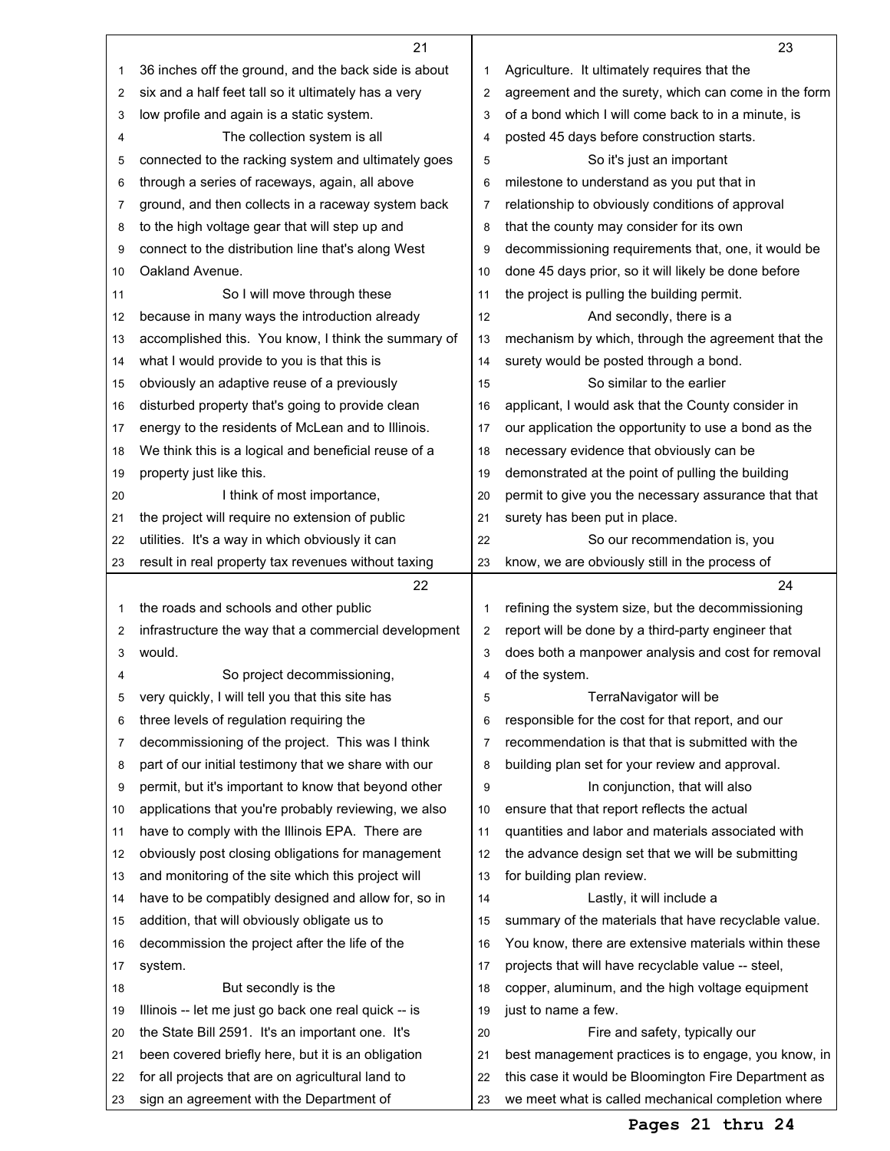|    | 21                                                   |                | 23                                                   |
|----|------------------------------------------------------|----------------|------------------------------------------------------|
| 1  | 36 inches off the ground, and the back side is about | 1              | Agriculture. It ultimately requires that the         |
| 2  | six and a half feet tall so it ultimately has a very | $\overline{2}$ | agreement and the surety, which can come in the form |
| 3  | low profile and again is a static system.            | 3              | of a bond which I will come back to in a minute, is  |
| 4  | The collection system is all                         | 4              | posted 45 days before construction starts.           |
| 5  | connected to the racking system and ultimately goes  | 5              | So it's just an important                            |
| 6  | through a series of raceways, again, all above       | 6              | milestone to understand as you put that in           |
| 7  | ground, and then collects in a raceway system back   | $\overline{7}$ | relationship to obviously conditions of approval     |
| 8  | to the high voltage gear that will step up and       | 8              | that the county may consider for its own             |
| 9  | connect to the distribution line that's along West   | 9              | decommissioning requirements that, one, it would be  |
| 10 | Oakland Avenue.                                      | 10             | done 45 days prior, so it will likely be done before |
| 11 | So I will move through these                         | 11             | the project is pulling the building permit.          |
| 12 | because in many ways the introduction already        | 12             | And secondly, there is a                             |
| 13 | accomplished this. You know, I think the summary of  | 13             | mechanism by which, through the agreement that the   |
| 14 | what I would provide to you is that this is          | 14             | surety would be posted through a bond.               |
| 15 | obviously an adaptive reuse of a previously          | 15             | So similar to the earlier                            |
| 16 | disturbed property that's going to provide clean     | 16             | applicant, I would ask that the County consider in   |
| 17 | energy to the residents of McLean and to Illinois.   | 17             | our application the opportunity to use a bond as the |
| 18 | We think this is a logical and beneficial reuse of a | 18             | necessary evidence that obviously can be             |
| 19 | property just like this.                             | 19             | demonstrated at the point of pulling the building    |
| 20 | I think of most importance,                          | 20             | permit to give you the necessary assurance that that |
| 21 | the project will require no extension of public      | 21             | surety has been put in place.                        |
| 22 | utilities. It's a way in which obviously it can      | 22             | So our recommendation is, you                        |
| 23 | result in real property tax revenues without taxing  | 23             | know, we are obviously still in the process of       |
|    | 22                                                   |                | 24                                                   |
| 1  | the roads and schools and other public               | 1              | refining the system size, but the decommissioning    |
| 2  | infrastructure the way that a commercial development | 2              | report will be done by a third-party engineer that   |
| 3  | would.                                               | 3              | does both a manpower analysis and cost for removal   |
| 4  | So project decommissioning,                          | 4              | of the system.                                       |
| 5  | very quickly, I will tell you that this site has     | 5              | TerraNavigator will be                               |
| 6  | three levels of regulation requiring the             | 6              | responsible for the cost for that report, and our    |
| 7  | decommissioning of the project. This was I think     | 7              | recommendation is that that is submitted with the    |
| 8  | part of our initial testimony that we share with our | 8              | building plan set for your review and approval.      |
| 9  | permit, but it's important to know that beyond other | 9              | In conjunction, that will also                       |
| 10 | applications that you're probably reviewing, we also | 10             | ensure that that report reflects the actual          |
| 11 | have to comply with the Illinois EPA. There are      | 11             | quantities and labor and materials associated with   |
| 12 | obviously post closing obligations for management    | 12             | the advance design set that we will be submitting    |
| 13 | and monitoring of the site which this project will   | 13             | for building plan review.                            |
| 14 | have to be compatibly designed and allow for, so in  | 14             | Lastly, it will include a                            |
| 15 | addition, that will obviously obligate us to         | 15             | summary of the materials that have recyclable value. |
| 16 | decommission the project after the life of the       | 16             | You know, there are extensive materials within these |
| 17 | system.                                              | 17             | projects that will have recyclable value -- steel,   |
| 18 | But secondly is the                                  | 18             | copper, aluminum, and the high voltage equipment     |
| 19 | Illinois -- let me just go back one real quick -- is | 19             | just to name a few.                                  |
| 20 | the State Bill 2591. It's an important one. It's     | 20             | Fire and safety, typically our                       |
| 21 | been covered briefly here, but it is an obligation   | 21             | best management practices is to engage, you know, in |
| 22 | for all projects that are on agricultural land to    | 22             | this case it would be Bloomington Fire Department as |
| 23 | sign an agreement with the Department of             | 23             | we meet what is called mechanical completion where   |

## **Pages 21 thru 24**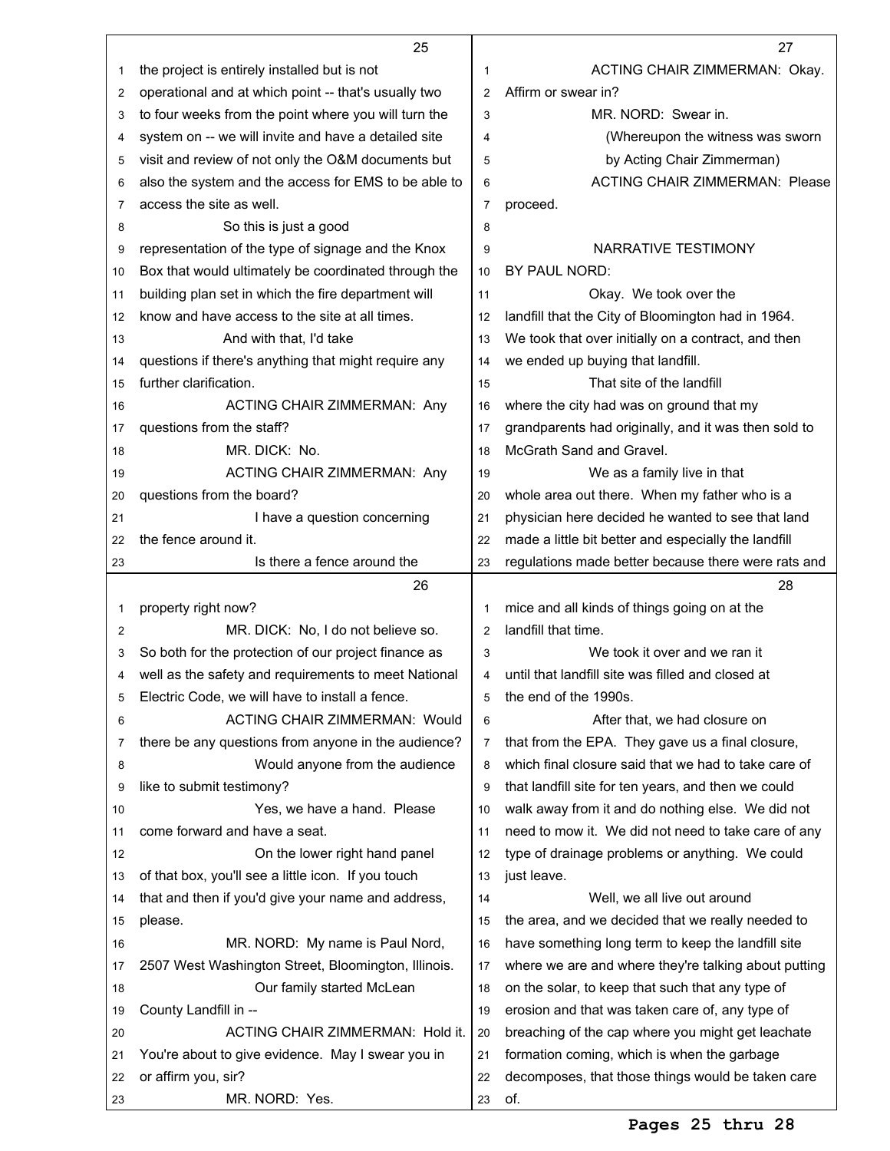|                | 25                                                   |                | 27                                                       |
|----------------|------------------------------------------------------|----------------|----------------------------------------------------------|
| 1              | the project is entirely installed but is not         | 1              | ACTING CHAIR ZIMMERMAN: Okay.                            |
| 2              | operational and at which point -- that's usually two | $\overline{2}$ | Affirm or swear in?                                      |
| 3              | to four weeks from the point where you will turn the | 3              | MR. NORD: Swear in.                                      |
| 4              | system on -- we will invite and have a detailed site | 4              | (Whereupon the witness was sworn                         |
| 5              | visit and review of not only the O&M documents but   | 5              | by Acting Chair Zimmerman)                               |
| 6              | also the system and the access for EMS to be able to | 6              | <b>ACTING CHAIR ZIMMERMAN: Please</b>                    |
| 7              | access the site as well.                             | $\overline{7}$ | proceed.                                                 |
| 8              | So this is just a good                               | 8              |                                                          |
| 9              | representation of the type of signage and the Knox   | 9              | NARRATIVE TESTIMONY                                      |
| 10             | Box that would ultimately be coordinated through the | 10             | BY PAUL NORD:                                            |
| 11             | building plan set in which the fire department will  | 11             | Okay. We took over the                                   |
| 12             | know and have access to the site at all times.       | 12             | landfill that the City of Bloomington had in 1964.       |
| 13             | And with that. I'd take                              | 13             | We took that over initially on a contract, and then      |
| 14             | questions if there's anything that might require any | 14             | we ended up buying that landfill.                        |
| 15             | further clarification.                               | 15             | That site of the landfill                                |
| 16             | ACTING CHAIR ZIMMERMAN: Any                          | 16             | where the city had was on ground that my                 |
| 17             | questions from the staff?                            | 17             | grandparents had originally, and it was then sold to     |
| 18             | MR. DICK: No.                                        | 18             | McGrath Sand and Gravel.                                 |
| 19             | <b>ACTING CHAIR ZIMMERMAN: Any</b>                   | 19             | We as a family live in that                              |
| 20             | questions from the board?                            | 20             | whole area out there. When my father who is a            |
| 21             | I have a question concerning                         | 21             | physician here decided he wanted to see that land        |
| 22             | the fence around it.                                 | 22             | made a little bit better and especially the landfill     |
| 23             | Is there a fence around the                          | 23             | regulations made better because there were rats and      |
|                | 26                                                   |                | 28                                                       |
| 1              | property right now?                                  | 1              | mice and all kinds of things going on at the             |
| $\overline{2}$ | MR. DICK: No, I do not believe so.                   | $\overline{2}$ | landfill that time.                                      |
| 3              | So both for the protection of our project finance as | 3              |                                                          |
|                |                                                      |                | We took it over and we ran it                            |
| 4              | well as the safety and requirements to meet National | 4              | until that landfill site was filled and closed at        |
| 5              | Electric Code, we will have to install a fence.      | 5              | the end of the 1990s.                                    |
| 6              | <b>ACTING CHAIR ZIMMERMAN: Would</b>                 | 6              | After that, we had closure on                            |
| 7              | there be any questions from anyone in the audience?  | 7              | that from the EPA. They gave us a final closure,         |
| 8              | Would anyone from the audience                       | 8              | which final closure said that we had to take care of     |
| 9              | like to submit testimony?                            | 9              | that landfill site for ten years, and then we could      |
| 10             | Yes, we have a hand. Please                          | 10             | walk away from it and do nothing else. We did not        |
| 11             | come forward and have a seat.                        | 11             | need to mow it. We did not need to take care of any      |
| 12             | On the lower right hand panel                        | 12             | type of drainage problems or anything. We could          |
| 13             | of that box, you'll see a little icon. If you touch  | 13             | just leave.                                              |
| 14             | that and then if you'd give your name and address,   | 14             | Well, we all live out around                             |
| 15             | please.                                              | 15             | the area, and we decided that we really needed to        |
| 16             | MR. NORD: My name is Paul Nord,                      | 16             | have something long term to keep the landfill site       |
| 17             | 2507 West Washington Street, Bloomington, Illinois.  | 17             | where we are and where they're talking about putting     |
| 18             | Our family started McLean                            | 18             | on the solar, to keep that such that any type of         |
| 19             | County Landfill in --                                | 19             | erosion and that was taken care of, any type of          |
| 20             | ACTING CHAIR ZIMMERMAN: Hold it.                     | 20             | breaching of the cap where you might get leachate        |
| 21             | You're about to give evidence. May I swear you in    | 21             | formation coming, which is when the garbage              |
| 22             | or affirm you, sir?<br>MR. NORD: Yes.                | 22             | decomposes, that those things would be taken care<br>of. |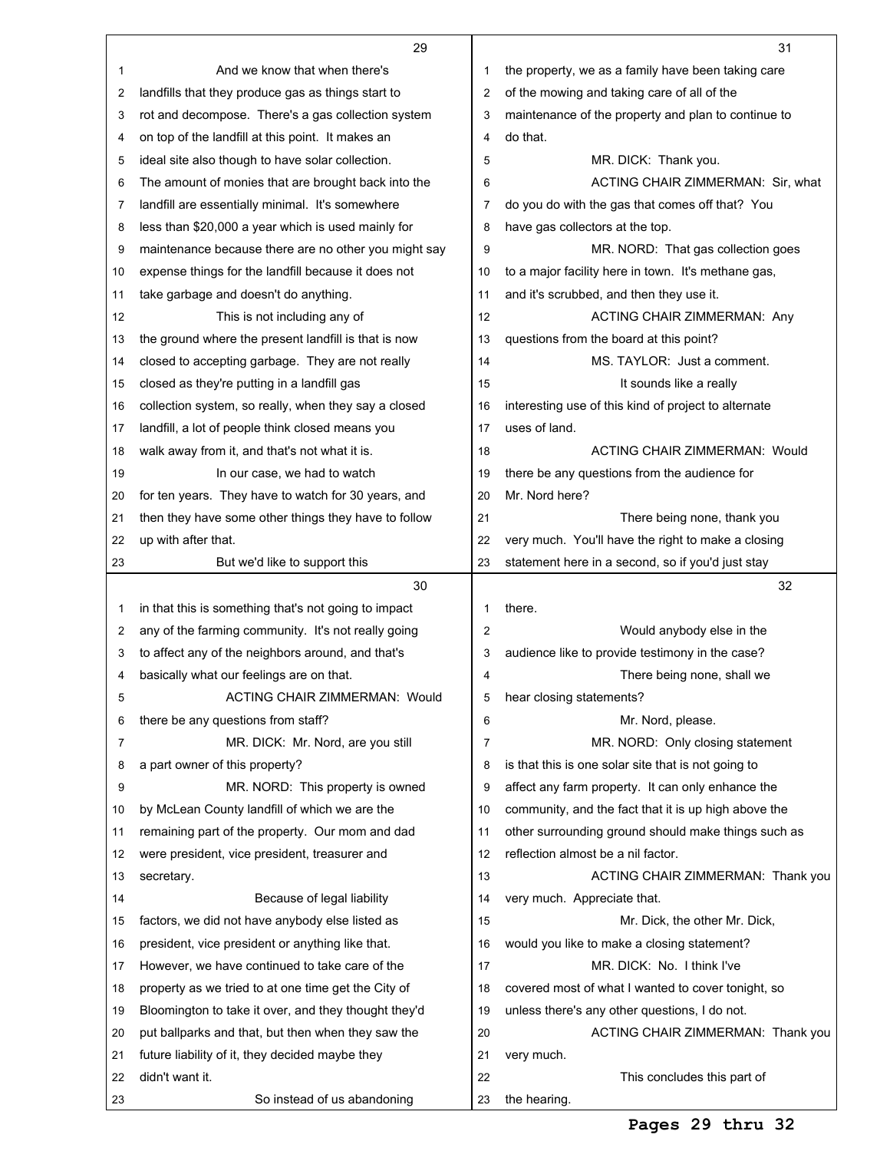|    | 29                                                                                |                | 31                                                                                                        |
|----|-----------------------------------------------------------------------------------|----------------|-----------------------------------------------------------------------------------------------------------|
| 1  | And we know that when there's                                                     | 1              | the property, we as a family have been taking care                                                        |
| 2  | landfills that they produce gas as things start to                                | 2              | of the mowing and taking care of all of the                                                               |
| 3  | rot and decompose. There's a gas collection system                                | 3              | maintenance of the property and plan to continue to                                                       |
| 4  | on top of the landfill at this point. It makes an                                 | 4              | do that.                                                                                                  |
| 5  | ideal site also though to have solar collection.                                  | 5              | MR. DICK: Thank you.                                                                                      |
| 6  | The amount of monies that are brought back into the                               | 6              | ACTING CHAIR ZIMMERMAN: Sir, what                                                                         |
| 7  | landfill are essentially minimal. It's somewhere                                  | 7              | do you do with the gas that comes off that? You                                                           |
| 8  | less than \$20,000 a year which is used mainly for                                | 8              | have gas collectors at the top.                                                                           |
| 9  | maintenance because there are no other you might say                              | 9              | MR. NORD: That gas collection goes                                                                        |
| 10 | expense things for the landfill because it does not                               | 10             | to a major facility here in town. It's methane gas,                                                       |
|    |                                                                                   | 11             |                                                                                                           |
| 11 | take garbage and doesn't do anything.                                             |                | and it's scrubbed, and then they use it.                                                                  |
| 12 | This is not including any of                                                      | 12             | ACTING CHAIR ZIMMERMAN: Any                                                                               |
| 13 | the ground where the present landfill is that is now                              | 13             | questions from the board at this point?                                                                   |
| 14 | closed to accepting garbage. They are not really                                  | 14             | MS. TAYLOR: Just a comment.                                                                               |
| 15 | closed as they're putting in a landfill gas                                       | 15             | It sounds like a really                                                                                   |
| 16 | collection system, so really, when they say a closed                              | 16             | interesting use of this kind of project to alternate                                                      |
| 17 | landfill, a lot of people think closed means you                                  | 17             | uses of land.                                                                                             |
| 18 | walk away from it, and that's not what it is.                                     | 18             | ACTING CHAIR ZIMMERMAN: Would                                                                             |
| 19 | In our case, we had to watch                                                      | 19             | there be any questions from the audience for                                                              |
| 20 | for ten years. They have to watch for 30 years, and                               | 20             | Mr. Nord here?                                                                                            |
| 21 | then they have some other things they have to follow                              | 21             | There being none, thank you                                                                               |
| 22 | up with after that.                                                               | 22             | very much. You'll have the right to make a closing                                                        |
| 23 | But we'd like to support this                                                     | 23             | statement here in a second, so if you'd just stay                                                         |
|    | 30                                                                                |                | 32                                                                                                        |
| 1  | in that this is something that's not going to impact                              | 1              | there.                                                                                                    |
| 2  | any of the farming community. It's not really going                               | $\overline{2}$ | Would anybody else in the                                                                                 |
| 3  | to affect any of the neighbors around, and that's                                 |                |                                                                                                           |
|    |                                                                                   | 3              | audience like to provide testimony in the case?                                                           |
| 4  | basically what our feelings are on that.                                          | 4              | There being none, shall we                                                                                |
| 5  | <b>ACTING CHAIR ZIMMERMAN: Would</b>                                              | 5              | hear closing statements?                                                                                  |
| 6  | there be any questions from staff?                                                | 6              | Mr. Nord, please.                                                                                         |
| 7  | MR. DICK: Mr. Nord, are you still                                                 | 7              | MR. NORD: Only closing statement                                                                          |
| 8  | a part owner of this property?                                                    | 8              | is that this is one solar site that is not going to                                                       |
| 9  |                                                                                   | 9              |                                                                                                           |
| 10 | MR. NORD: This property is owned<br>by McLean County landfill of which we are the | 10             | affect any farm property. It can only enhance the<br>community, and the fact that it is up high above the |
| 11 |                                                                                   | 11             |                                                                                                           |
|    | remaining part of the property. Our mom and dad                                   |                | other surrounding ground should make things such as                                                       |
| 12 | were president, vice president, treasurer and                                     | 12             | reflection almost be a nil factor.                                                                        |
| 13 | secretary.                                                                        | 13             | ACTING CHAIR ZIMMERMAN: Thank you                                                                         |
| 14 | Because of legal liability                                                        | 14             | very much. Appreciate that.                                                                               |
| 15 | factors, we did not have anybody else listed as                                   | 15             | Mr. Dick, the other Mr. Dick,                                                                             |
| 16 | president, vice president or anything like that.                                  | 16             | would you like to make a closing statement?                                                               |
| 17 | However, we have continued to take care of the                                    | 17             | MR. DICK: No. I think I've                                                                                |
| 18 | property as we tried to at one time get the City of                               | 18             | covered most of what I wanted to cover tonight, so                                                        |
| 19 | Bloomington to take it over, and they thought they'd                              | 19             | unless there's any other questions, I do not.                                                             |
| 20 | put ballparks and that, but then when they saw the                                | 20             | ACTING CHAIR ZIMMERMAN: Thank you                                                                         |
| 21 | future liability of it, they decided maybe they                                   | 21             | very much.                                                                                                |
| 22 | didn't want it.<br>So instead of us abandoning                                    | 22             | This concludes this part of<br>the hearing.                                                               |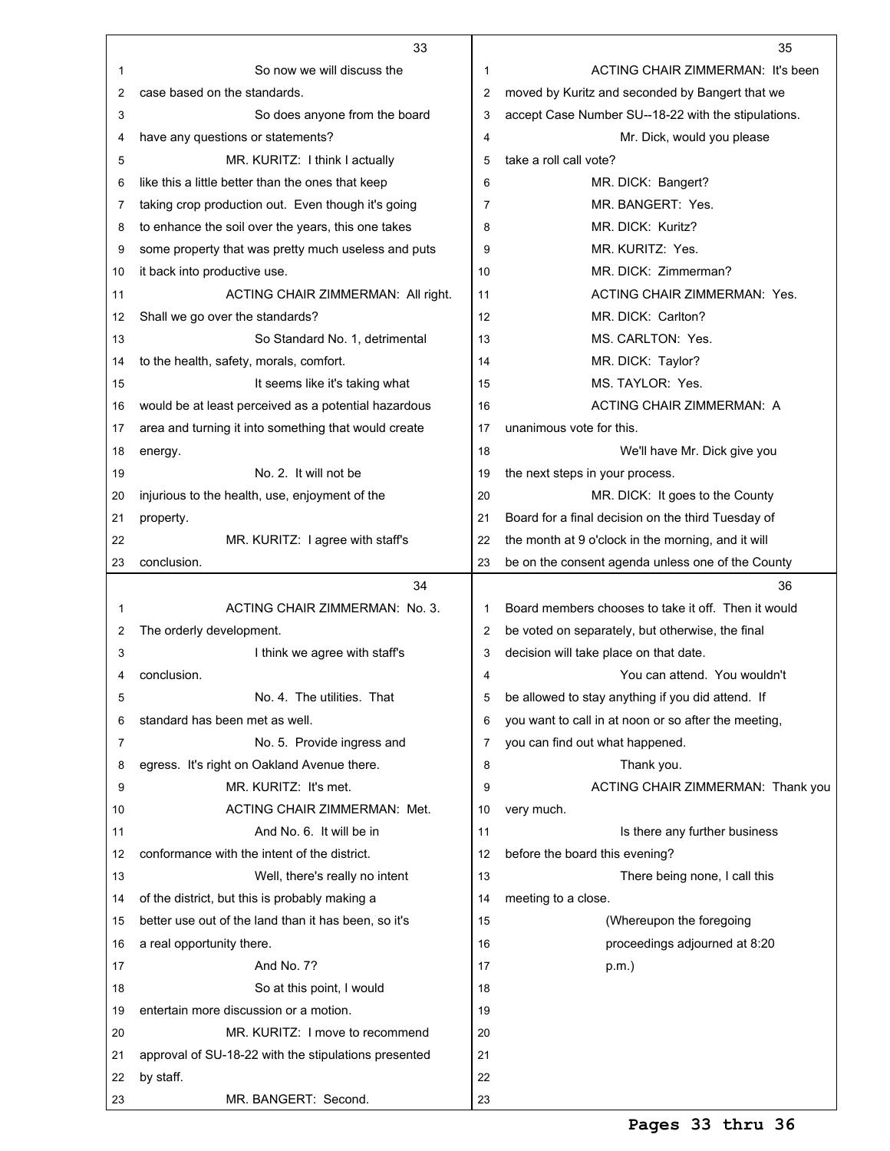|    | 33                                                   |                | 35                                                   |
|----|------------------------------------------------------|----------------|------------------------------------------------------|
| 1  | So now we will discuss the                           | 1              | ACTING CHAIR ZIMMERMAN: It's been                    |
| 2  | case based on the standards.                         | 2              | moved by Kuritz and seconded by Bangert that we      |
| 3  | So does anyone from the board                        | 3              | accept Case Number SU--18-22 with the stipulations.  |
| 4  | have any questions or statements?                    | 4              | Mr. Dick, would you please                           |
| 5  | MR. KURITZ: I think I actually                       | 5              | take a roll call vote?                               |
| 6  | like this a little better than the ones that keep    | 6              | MR. DICK: Bangert?                                   |
| 7  | taking crop production out. Even though it's going   | $\overline{7}$ | MR. BANGERT: Yes.                                    |
| 8  | to enhance the soil over the years, this one takes   | 8              | MR. DICK: Kuritz?                                    |
| 9  | some property that was pretty much useless and puts  | 9              | MR. KURITZ: Yes.                                     |
| 10 | it back into productive use.                         | 10             | MR. DICK: Zimmerman?                                 |
| 11 | ACTING CHAIR ZIMMERMAN: All right.                   | 11             | ACTING CHAIR ZIMMERMAN: Yes.                         |
| 12 | Shall we go over the standards?                      | 12             | MR. DICK: Carlton?                                   |
| 13 | So Standard No. 1, detrimental                       | 13             | MS. CARLTON: Yes.                                    |
| 14 | to the health, safety, morals, comfort.              | 14             | MR. DICK: Taylor?                                    |
| 15 | It seems like it's taking what                       | 15             | MS. TAYLOR: Yes.                                     |
| 16 | would be at least perceived as a potential hazardous | 16             | ACTING CHAIR ZIMMERMAN: A                            |
| 17 | area and turning it into something that would create | 17             | unanimous vote for this.                             |
| 18 | energy.                                              | 18             | We'll have Mr. Dick give you                         |
| 19 | No. 2. It will not be                                | 19             | the next steps in your process.                      |
| 20 | injurious to the health, use, enjoyment of the       | 20             | MR. DICK: It goes to the County                      |
| 21 | property.                                            | 21             | Board for a final decision on the third Tuesday of   |
| 22 | MR. KURITZ: I agree with staff's                     | 22             | the month at 9 o'clock in the morning, and it will   |
| 23 | conclusion.                                          | 23             | be on the consent agenda unless one of the County    |
|    | 34                                                   |                | 36                                                   |
| 1  | ACTING CHAIR ZIMMERMAN: No. 3.                       | 1              | Board members chooses to take it off. Then it would  |
| 2  | The orderly development.                             | 2              | be voted on separately, but otherwise, the final     |
| 3  | I think we agree with staff's                        | 3              | decision will take place on that date.               |
| 4  | conclusion.                                          | 4              | You can attend. You wouldn't                         |
| 5  | No. 4. The utilities. That                           | 5              | be allowed to stay anything if you did attend. If    |
| 6  | standard has been met as well.                       | 6              | you want to call in at noon or so after the meeting, |
| 7  | No. 5. Provide ingress and                           | 7              | you can find out what happened.                      |
| 8  | egress. It's right on Oakland Avenue there.          | 8              | Thank you.                                           |
| 9  | MR. KURITZ: It's met.                                | 9              | ACTING CHAIR ZIMMERMAN: Thank you                    |
| 10 | <b>ACTING CHAIR ZIMMERMAN: Met.</b>                  | 10             | very much.                                           |
| 11 | And No. 6. It will be in                             | 11             | Is there any further business                        |
| 12 | conformance with the intent of the district.         | 12             | before the board this evening?                       |
| 13 | Well, there's really no intent                       | 13             | There being none, I call this                        |
| 14 | of the district, but this is probably making a       | 14             | meeting to a close.                                  |
| 15 | better use out of the land than it has been, so it's | 15             | (Whereupon the foregoing                             |
| 16 | a real opportunity there.                            | 16             | proceedings adjourned at 8:20                        |
| 17 | And No. 7?                                           | 17             | $p.m.$ )                                             |
| 18 | So at this point, I would                            | 18             |                                                      |
| 19 |                                                      |                |                                                      |
|    | entertain more discussion or a motion.               | 19             |                                                      |
| 20 | MR. KURITZ: I move to recommend                      | 20             |                                                      |
| 21 | approval of SU-18-22 with the stipulations presented | 21             |                                                      |
| 22 | by staff.                                            | 22             |                                                      |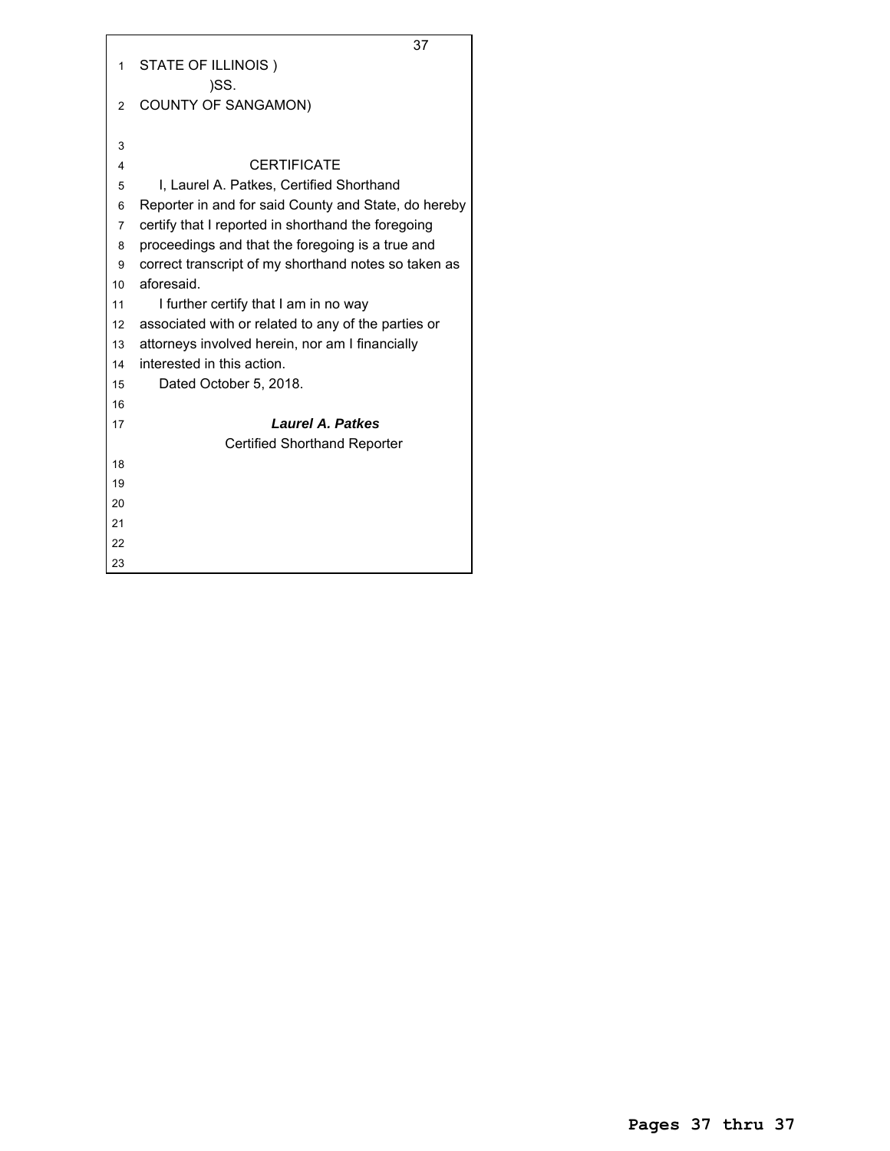|                | 37                                                   |
|----------------|------------------------------------------------------|
| 1              | STATE OF ILLINOIS)                                   |
|                | )SS.                                                 |
| $\overline{2}$ | <b>COUNTY OF SANGAMON)</b>                           |
|                |                                                      |
| 3              |                                                      |
| 4              | <b>CERTIFICATE</b>                                   |
| 5              | I, Laurel A. Patkes, Certified Shorthand             |
| 6              | Reporter in and for said County and State, do hereby |
| $\overline{7}$ | certify that I reported in shorthand the foregoing   |
| 8              | proceedings and that the foregoing is a true and     |
| 9              | correct transcript of my shorthand notes so taken as |
| 10             | aforesaid.                                           |
| 11             | I further certify that I am in no way                |
| 12             | associated with or related to any of the parties or  |
| 13             | attorneys involved herein, nor am I financially      |
| 14             | interested in this action.                           |
| 15             | Dated October 5, 2018.                               |
| 16             |                                                      |
| 17             | <b>Laurel A. Patkes</b>                              |
|                | <b>Certified Shorthand Reporter</b>                  |
| 18             |                                                      |
| 19             |                                                      |
| 20             |                                                      |
| 21             |                                                      |
| 22             |                                                      |
| 23             |                                                      |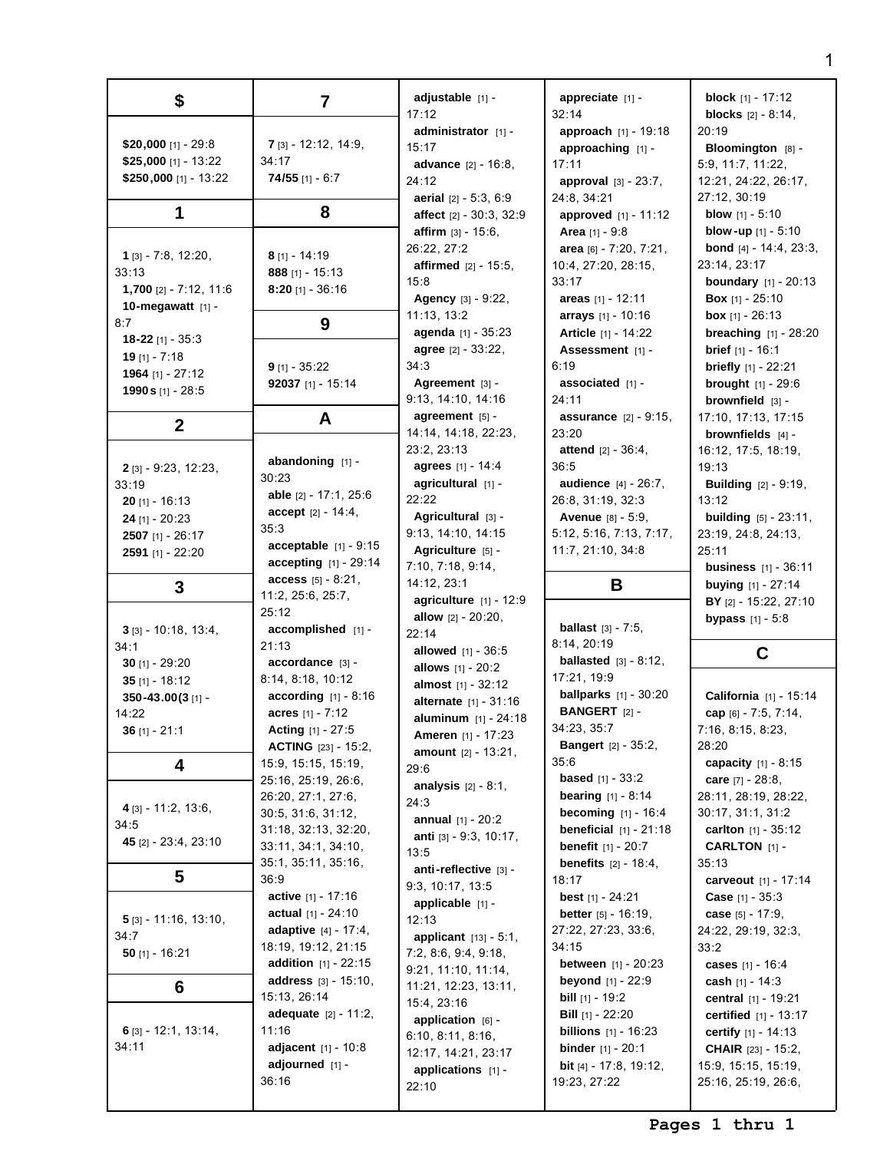| \$                                | 7                              | adjustable [1] -                                       | appreciate [1] -                              | <b>block</b> $[1] - 17:12$                          |
|-----------------------------------|--------------------------------|--------------------------------------------------------|-----------------------------------------------|-----------------------------------------------------|
|                                   |                                | 17:12                                                  | 32:14                                         | <b>blocks</b> $[2] - 8:14$ ,                        |
|                                   |                                | administrator [1] -                                    | approach [1] - 19:18                          | 20:19                                               |
| \$20,000 [1] - 29:8               | <b>7</b> $[3] - 12:12, 14:9,$  | 15:17                                                  | approaching [1] -                             | Bloomington [8] -                                   |
| \$25,000 [1] - 13:22              | 34:17                          | <b>advance</b> $[2] - 16:8$ ,                          | 17:11                                         | 5:9, 11:7, 11:22,                                   |
| \$250,000 [1] - 13:22             | $74/55$ [1] - 6:7              | 24:12                                                  | <b>approval</b> $[3] - 23:7$ ,                | 12:21, 24:22, 26:17,                                |
|                                   |                                | aerial [2] - 5:3, 6:9                                  | 24:8, 34:21                                   | 27:12, 30:19                                        |
| 1                                 | 8                              | affect [2] - 30:3, 32:9                                | approved [1] - 11:12                          | <b>blow</b> $[1] - 5:10$                            |
|                                   |                                | <b>affirm</b> $[3] - 15:6$ ,                           | <b>Area</b> $[1] - 9:8$                       | <b>blow-up</b> $[1] - 5:10$                         |
| $1$ [3] - 7:8, 12:20,             | $8$ [1] - 14:19                | 26:22, 27:2                                            | area [6] - 7:20, 7:21,                        | <b>bond</b> $[4] - 14:4$ , 23:3,                    |
| 33:13                             | 888 [1] - 15:13                | <b>affirmed</b> $[2] - 15:5$ ,                         | 10:4, 27:20, 28:15,                           | 23:14, 23:17                                        |
| 1,700 $[2] - 7:12$ , 11:6         | $8:20$ [1] - 36:16             | 15:8                                                   | 33:17                                         | <b>boundary</b> $[1] - 20:13$                       |
| 10-megawatt [1] -                 |                                | Agency [3] - 9:22,                                     | areas $[1] - 12:11$                           | <b>Box</b> $[1] - 25:10$                            |
| 8:7                               | 9                              | 11:13, 13:2                                            | arrays [1] - 10:16                            | <b>box</b> [1] - 26:13                              |
| 18-22 [1] - $35:3$                |                                | agenda [1] - 35:23                                     | <b>Article</b> [1] - 14:22                    | <b>breaching</b> $[1] - 28:20$                      |
| 19 $[1] - 7:18$                   |                                | agree [2] - 33:22,                                     | Assessment [1] -                              | <b>brief</b> $[1] - 16:1$                           |
| 1964 [1] - 27:12                  | $9$ [1] - 35:22                | 34:3                                                   | 6:19                                          | <b>briefly</b> $[1] - 22:21$                        |
| 1990 s [1] - 28:5                 | 92037 [1] - 15:14              | Agreement $[3]$ -                                      | associated $[1]$ -                            | <b>brought</b> $[1] - 29:6$                         |
|                                   |                                | 9:13, 14:10, 14:16                                     | 24:11                                         | brownfield [3] -                                    |
| $\mathbf{2}$                      | A                              | agreement $[5]$ -                                      | <b>assurance</b> $[2] - 9:15$ ,               | 17:10, 17:13, 17:15                                 |
|                                   |                                | 14:14, 14:18, 22:23,                                   | 23:20                                         | brownfields $[4]$ -                                 |
|                                   | abandoning $[1]$ -             | 23:2, 23:13                                            | <b>attend</b> $[2] - 36:4,$                   | 16:12, 17:5, 18:19,                                 |
| $2$ [3] - 9:23, 12:23,            | 30:23                          | agrees [1] - 14:4                                      | 36:5                                          | 19:13                                               |
| 33:19                             | able [2] - 17:1, 25:6          | agricultural [1] -                                     | audience [4] - 26:7,                          | <b>Building</b> $[2] - 9:19$ ,                      |
| $20$ [1] - 16:13                  | $accept [2] - 14:4,$           | 22:22                                                  | 26:8, 31:19, 32:3                             | 13:12                                               |
| <b>24</b> [1] - $20:23$           | 35:3                           | Agricultural [3] -                                     | Avenue [8] - 5:9,                             | <b>building</b> $[5] - 23:11$ ,                     |
| $2507$ [1] - $26:17$              | acceptable $[1]$ - 9:15        | 9:13, 14:10, 14:15                                     | 5:12, 5:16, 7:13, 7:17,                       | 23:19, 24:8, 24:13,                                 |
| 2591 [1] - 22:20                  | accepting [1] - 29:14          | Agriculture [5] -<br>7:10, 7:18, 9:14,                 | 11:7, 21:10, 34:8                             | 25:11                                               |
|                                   | access [5] - 8:21,             | 14:12, 23:1                                            | B                                             | <b>business</b> $[1] - 36:11$<br>buying [1] - 27:14 |
| 3                                 | 11:2, 25:6, 25:7,              | agriculture $[1] - 12:9$                               |                                               | BY [2] - 15:22, 27:10                               |
|                                   |                                |                                                        |                                               |                                                     |
|                                   | 25:12                          |                                                        |                                               |                                                     |
| $3$ [3] - 10:18, 13:4,            | accomplished [1] -             | <b>allow</b> $[2] - 20:20$ ,                           | <b>ballast</b> $[3] - 7:5$ ,                  | <b>bypass</b> $[1] - 5:8$                           |
| 34:1                              | 21:13                          | 22:14<br><b>allowed</b> $[1] - 36:5$                   | 8:14, 20:19                                   |                                                     |
| 30 $[1] - 29:20$                  | accordance [3] -               |                                                        | <b>ballasted</b> $[3] - 8:12$ ,               | C                                                   |
| 35 $[1] - 18:12$                  | 8:14, 8:18, 10:12              | allows [1] - 20:2<br><b>almost</b> $[1] - 32:12$       | 17:21, 19:9                                   |                                                     |
| 350-43.00(3[1]-                   | <b>according</b> $[1] - 8:16$  |                                                        | <b>ballparks</b> $[1] - 30:20$                | California [1] - 15:14                              |
| 14:22                             | acres $[1] - 7:12$             | alternate [1] - 31:16<br><b>aluminum</b> $[1] - 24:18$ | <b>BANGERT</b> [2] -                          | cap [6] - 7:5, 7:14,                                |
| 36 $[1] - 21:1$                   | <b>Acting</b> $[1] - 27:5$     | Ameren [1] - 17:23                                     | 34:23, 35:7                                   | 7:16, 8:15, 8:23,                                   |
|                                   | <b>ACTING</b> [23] - 15:2,     | <b>amount</b> $[2] - 13:21$ ,                          | <b>Bangert</b> $[2] - 35:2$ ,                 | 28:20                                               |
| 4                                 | 15:9, 15:15, 15:19,            | 29:6                                                   | 35:6                                          | capacity $[1] - 8:15$                               |
|                                   | 25:16, 25:19, 26:6,            | <b>analysis</b> $[2] - 8:1$ ,                          | <b>based</b> $[1] - 33:2$                     | care $[7] - 28:8$ ,                                 |
|                                   | 26:20, 27:1, 27:6,             | 24:3                                                   | <b>bearing</b> $[1] - 8:14$                   | 28:11, 28:19, 28:22,                                |
| $4$ [3] - 11:2, 13:6,             | 30:5, 31:6, 31:12,             | <b>annual</b> $[1] - 20:2$                             | <b>becoming</b> $[1] - 16:4$                  | 30:17, 31:1, 31:2                                   |
| 34:5                              | 31:18, 32:13, 32:20,           | anti [3] - 9:3, 10:17,                                 | <b>beneficial</b> $[1] - 21:18$               | <b>carlton</b> $[1] - 35:12$                        |
| 45 $[2] - 23:4, 23:10$            | 33:11, 34:1, 34:10,            | 13:5                                                   | <b>benefit</b> $[1] - 20:7$                   | <b>CARLTON</b> $[1]$ -                              |
|                                   | 35:1, 35:11, 35:16,            | anti-reflective [3] -                                  | <b>benefits</b> $[2] - 18:4$ ,                | 35:13                                               |
| 5                                 | 36:9                           | 9:3, 10:17, 13:5                                       | 18:17                                         | carveout [1] - 17:14                                |
|                                   | active [1] - 17:16             | applicable [1] -                                       | <b>best</b> $[1] - 24:21$                     | <b>Case</b> $[1] - 35:3$                            |
| $\frac{5}{3}$ [3] - 11:16, 13:10, | actual $[1] - 24:10$           | 12:13                                                  | <b>better</b> $[5] - 16:19$ ,                 | case $[5] - 17:9$ ,                                 |
| 34:7                              | <b>adaptive</b> $[4] - 17:4,$  | <b>applicant</b> $[13] - 5:1$ ,                        | 27:22, 27:23, 33:6,                           | 24:22, 29:19, 32:3,                                 |
| 50 $[1] - 16:21$                  | 18:19, 19:12, 21:15            | 7:2, 8:6, 9:4, 9:18,                                   | 34:15                                         | 33:2                                                |
|                                   | <b>addition</b> $[1] - 22:15$  | 9:21, 11:10, 11:14,                                    | <b>between</b> $[1] - 20:23$                  | cases [1] - 16:4                                    |
| 6                                 | <b>address</b> $[3] - 15:10$ , | 11:21, 12:23, 13:11,                                   | <b>beyond</b> $[1] - 22:9$                    | <b>cash</b> [1] - 14:3                              |
|                                   | 15:13, 26:14                   | 15:4, 23:16                                            | <b>bill</b> $[1]$ - 19:2                      | central [1] - 19:21                                 |
|                                   | <b>adequate</b> $[2] - 11:2$ , | application [6] -                                      | <b>Bill</b> $[1]$ - 22:20                     | <b>certified</b> $[1] - 13:17$                      |
| 6 $[3] - 12:1, 13:14,$<br>34:11   | 11:16                          | 6:10, 8:11, 8:16,                                      | <b>billions</b> $[1] - 16:23$                 | <b>certify</b> $[1] - 14:13$                        |
|                                   | adjacent [1] - 10:8            | 12:17, 14:21, 23:17                                    | <b>binder</b> $[1] - 20:1$                    | <b>CHAIR</b> [23] - 15:2,                           |
|                                   | adjourned [1] -<br>36:16       | applications $[1]$ -<br>22:10                          | <b>bit</b> [4] - 17:8, 19:12,<br>19:23, 27:22 | 15:9, 15:15, 15:19,<br>25:16, 25:19, 26:6,          |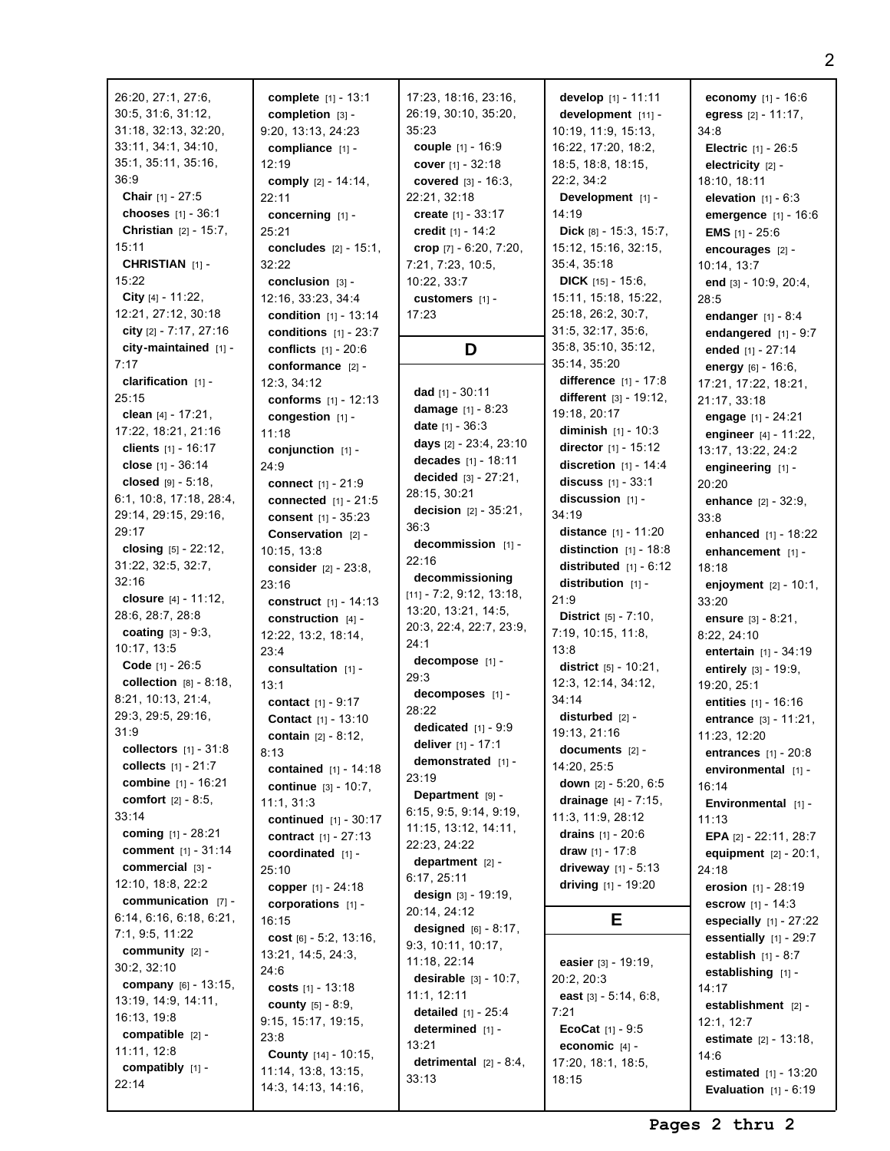| 26:20, 27:1, 27:6,              | complete [1] - 13:1             | 17:23, 18:16, 23:16,            | develop $[1] - 11:11$                             | economy $[1] - 16:6$            |
|---------------------------------|---------------------------------|---------------------------------|---------------------------------------------------|---------------------------------|
| 30:5, 31:6, 31:12,              | $completion$ [3] -              | 26:19, 30:10, 35:20,            | development [11] -                                | egress $[2] - 11:17$ ,          |
| 31:18, 32:13, 32:20,            | 9:20, 13:13, 24:23              | 35:23                           | 10:19, 11:9, 15:13,                               | 34:8                            |
| 33:11, 34:1, 34:10,             | compliance $[1]$ -              | couple [1] - 16:9               | 16:22, 17:20, 18:2,                               | <b>Electric</b> $[1] - 26:5$    |
| 35:1, 35:11, 35:16,             | 12:19                           | cover $[1] - 32:18$             | 18:5, 18:8, 18:15,                                | electricity $[2]$ -             |
| 36:9                            | comply $[2] - 14:14$ ,          | <b>covered</b> $[3] - 16:3$ ,   | 22:2, 34:2                                        | 18:10, 18:11                    |
| <b>Chair</b> [1] - 27:5         | 22:11                           | 22:21, 32:18                    | Development [1] -                                 | elevation $[1] - 6:3$           |
| chooses $[1] - 36:1$            | concerning [1] -                | create $[1] - 33:17$            | 14:19                                             | emergence [1] - 16:6            |
| <b>Christian</b> $[2] - 15:7$ , | 25:21                           | credit $[1] - 14:2$             | Dick $[8] - 15:3, 15:7,$                          | <b>EMS</b> $[1]$ - 25:6         |
| 15:11                           | <b>concludes</b> $[2] - 15:1$ , | crop [7] - 6:20, 7:20,          | 15:12, 15:16, 32:15,                              |                                 |
| CHRISTIAN [1] -                 | 32:22                           | 7:21, 7:23, 10:5,               | 35:4, 35:18                                       | encourages [2] -<br>10:14, 13:7 |
| 15:22                           | conclusion [3] -                | 10:22, 33:7                     | <b>DICK</b> [15] - 15:6,                          | end [3] - 10:9, 20:4,           |
| City $[4] - 11:22$ ,            | 12:16, 33:23, 34:4              | customers [1] -                 | 15:11, 15:18, 15:22,                              | 28:5                            |
| 12:21, 27:12, 30:18             | <b>condition</b> $[1] - 13:14$  | 17:23                           | 25:18, 26:2, 30:7,                                |                                 |
| city $[2] - 7:17, 27:16$        | conditions $[1] - 23:7$         |                                 | 31:5, 32:17, 35:6,                                | endanger $[1] - 8:4$            |
| city-maintained [1] -           | <b>conflicts</b> $[1] - 20:6$   | D                               | 35:8, 35:10, 35:12,                               | endangered $[1] - 9:7$          |
| 7:17                            | conformance [2] -               |                                 | 35:14, 35:20                                      | ended [1] - 27:14               |
| clarification $[1]$ -           |                                 |                                 | difference [1] - 17:8                             | energy $[6] - 16:6$ ,           |
| 25:15                           | 12:3, 34:12                     | dad $[1] - 30:11$               | different $[3] - 19:12$ ,                         | 17:21, 17:22, 18:21,            |
|                                 | conforms [1] - 12:13            | damage $[1] - 8:23$             | 19:18, 20:17                                      | 21:17, 33:18                    |
| clean $[4] - 17:21$ ,           | congestion [1] -                | <b>date</b> $[1] - 36:3$        | <b>diminish</b> $[1] - 10:3$                      | engage [1] - 24:21              |
| 17:22, 18:21, 21:16             | 11:18                           | days [2] - 23:4, 23:10          |                                                   | engineer [4] - 11:22,           |
| clients $[1] - 16:17$           | conjunction [1] -               | decades [1] - 18:11             | director $[1] - 15:12$<br>discretion $[1] - 14:4$ | 13:17, 13:22, 24:2              |
| close [1] - 36:14               | 24:9                            | decided $[3] - 27:21$ ,         |                                                   | engineering $[1]$ -             |
| closed $[9] - 5:18$ ,           | connect [1] - 21:9              | 28:15, 30:21                    | <b>discuss</b> $[1] - 33:1$                       | 20:20                           |
| 6:1, 10:8, 17:18, 28:4,         | <b>connected</b> $[1] - 21:5$   | <b>decision</b> $[2] - 35:21$ , | discussion [1] -                                  | enhance $[2] - 32:9$ ,          |
| 29:14, 29:15, 29:16,            | consent $[1] - 35:23$           | 36:3                            | 34:19                                             | 33:8                            |
| 29:17                           | <b>Conservation</b> $[2]$ -     | decommission [1] -              | distance [1] - 11:20                              | enhanced $[1] - 18:22$          |
| closing $[5] - 22:12$ ,         | 10:15, 13:8                     | 22:16                           | distinction $[1]$ - 18:8                          | enhancement [1] -               |
| 31:22, 32:5, 32:7,              | <b>consider</b> $[2] - 23:8$ ,  | decommissioning                 | distributed $[1] - 6:12$                          | 18:18                           |
| 32:16                           | 23:16                           | $[11] - 7:2, 9:12, 13:18,$      | distribution $[1]$ -                              | enjoyment $[2] - 10:1$ ,        |
| closure $[4] - 11:12$ ,         | construct $[1] - 14:13$         | 13:20, 13:21, 14:5,             | 21:9                                              | 33:20                           |
| 28:6, 28:7, 28:8                | construction $[4]$ -            | 20:3, 22:4, 22:7, 23:9,         | District [5] - 7:10,                              | <b>ensure</b> $[3] - 8:21$ ,    |
| <b>coating</b> $[3] - 9:3$ ,    | 12:22, 13:2, 18:14,             | 24:1                            | 7:19, 10:15, 11:8,                                | 8:22, 24:10                     |
| 10:17, 13:5                     | 23:4                            | decompose [1] -                 | 13:8                                              | <b>entertain</b> $[1] - 34:19$  |
| <b>Code</b> [1] - 26:5          | consultation $[1]$ -            | 29:3                            | district $[5] - 10:21$ ,                          | entirely [3] - 19:9,            |
| collection $[8] - 8:18$ ,       | 13:1                            | decomposes [1] -                | 12:3, 12:14, 34:12,                               | 19:20, 25:1                     |
| 8:21, 10:13, 21:4,              | contact [1] - 9:17              | 28:22                           | 34:14                                             | entities $[1] - 16:16$          |
| 29:3, 29:5, 29:16,              | Contact [1] - 13:10             | dedicated $[1] - 9:9$           | disturbed $[2]$ -                                 | <b>entrance</b> $[3] - 11:21$ , |
| 31:9                            | <b>contain</b> $[2] - 8:12$ ,   | deliver [1] - 17:1              | 19:13, 21:16                                      | 11:23, 12:20                    |
| collectors $[1] - 31:8$         | 8:13                            | demonstrated [1] -              | documents $[2]$ -                                 | entrances $[1] - 20:8$          |
| collects $[1] - 21:7$           | contained [1] - 14:18           | 23:19                           | 14:20, 25:5                                       | environmental [1] -             |
| combine [1] - 16:21             | <b>continue</b> $[3] - 10:7$ ,  | Department [9] -                | down $[2] - 5:20, 6:5$                            | 16:14                           |
| comfort [2] - 8:5,              | 11:1, 31:3                      | 6:15, 9:5, 9:14, 9:19,          | drainage $[4] - 7:15$ ,                           | <b>Environmental</b> $[1]$ -    |
| 33:14                           | continued [1] - 30:17           | 11:15, 13:12, 14:11,            | 11:3, 11:9, 28:12                                 | 11:13                           |
| coming [1] - 28:21              | <b>contract</b> $[1] - 27:13$   | 22:23, 24:22                    | drains $[1] - 20:6$                               | EPA [2] - 22:11, 28:7           |
| <b>comment</b> $[1] - 31:14$    | coordinated $[1]$ -             | department $[2]$ -              | draw $[1] - 17:8$                                 | equipment $[2] - 20:1$ ,        |
| commercial [3] -                | 25:10                           | 6:17, 25:11                     | driveway $[1] - 5:13$                             | 24:18                           |
| 12:10, 18:8, 22:2               | copper [1] - 24:18              | design $[3] - 19:19$ ,          | driving $[1] - 19:20$                             | erosion [1] - 28:19             |
| communication $[7]$ -           | corporations $[1]$ -            | 20:14, 24:12                    |                                                   | <b>escrow</b> $[1] - 14:3$      |
| 6:14, 6:16, 6:18, 6:21,         | 16:15                           | designed $[6] - 8:17$ ,         | Е                                                 | especially $[1] - 27:22$        |
| 7:1, 9:5, 11:22                 | cost $[6] - 5:2, 13:16,$        | 9:3, 10:11, 10:17,              |                                                   | essentially $[1]$ - 29:7        |
| community $[2]$ -               | 13:21, 14:5, 24:3,              | 11:18, 22:14                    | easier $[3] - 19:19$ ,                            | establish $[1] - 8:7$           |
| 30:2, 32:10                     | 24:6                            | <b>desirable</b> $[3] - 10:7$ , | 20:2, 20:3                                        | establishing [1] -              |
| company [6] - 13:15,            | costs $[1] - 13:18$             | 11:1, 12:11                     | east $[3] - 5:14, 6:8,$                           | 14:17                           |
| 13:19, 14:9, 14:11,             | county [5] - 8:9,               | <b>detailed</b> $[1] - 25:4$    | 7:21                                              | establishment [2] -             |
| 16:13, 19:8                     | 9:15, 15:17, 19:15,             | determined [1] -                | <b>EcoCat</b> $[1] - 9:5$                         | 12:1, 12:7                      |
| compatible [2] -                | 23:8                            | 13:21                           | economic $[4]$ -                                  | <b>estimate</b> $[2] - 13:18$ , |
| 11:11, 12:8                     | County [14] - 10:15,            | detrimental $[2] - 8:4$ ,       | 17:20, 18:1, 18:5,                                | 14:6                            |
| compatibly [1] -                | 11:14, 13:8, 13:15,             | 33:13                           |                                                   | <b>estimated</b> $[1] - 13:20$  |
| 22:14                           | 14:3, 14:13, 14:16,             |                                 | 18:15                                             | Evaluation $111 - 6:19$         |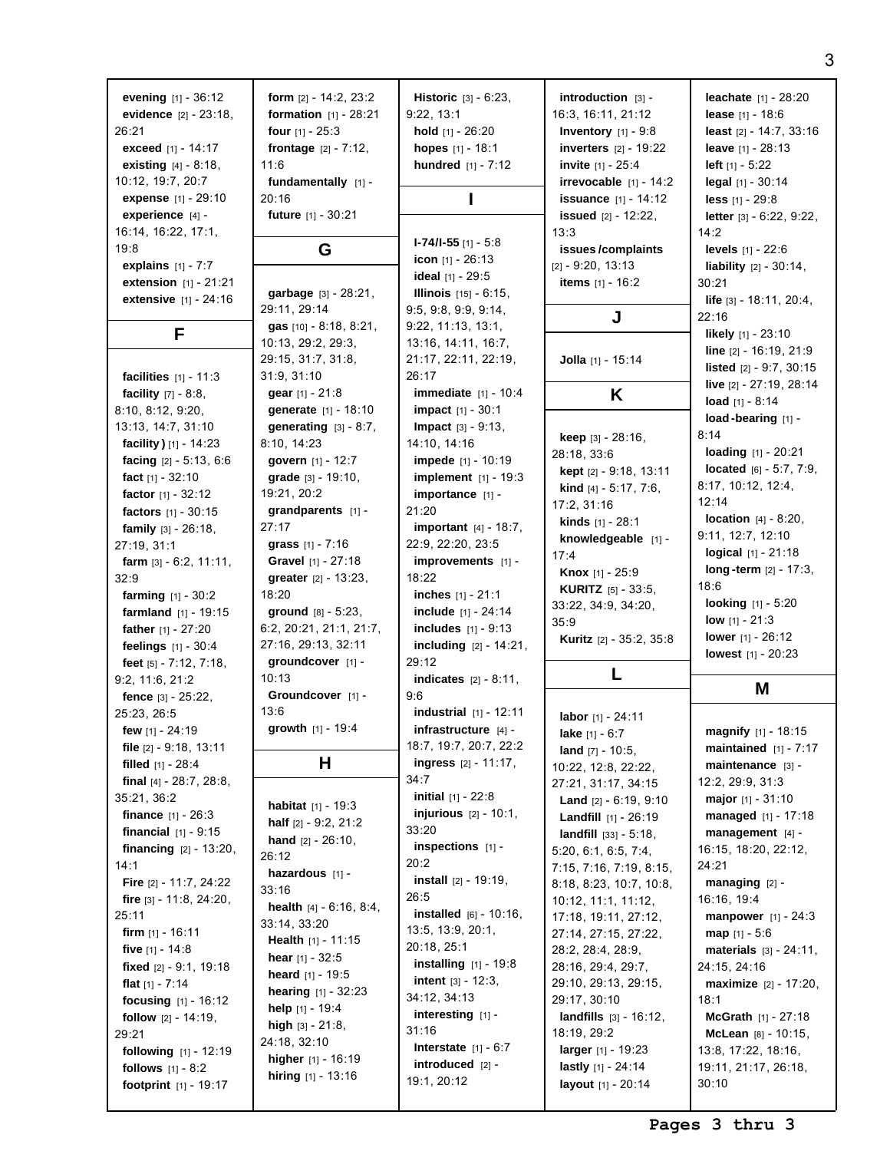| evening $[1] - 36:12$                 | form $[2] - 14:2, 23:2$                      | <b>Historic</b> $[3] - 6:23$ ,   | introduction [3] -                           | <b>leachate</b> $[1] - 28:20$    |
|---------------------------------------|----------------------------------------------|----------------------------------|----------------------------------------------|----------------------------------|
| evidence $[2] - 23:18$ ,              | <b>formation</b> $[1] - 28:21$               | 9:22, 13:1                       | 16:3, 16:11, 21:12                           | <b>lease</b> $[1] - 18:6$        |
| 26:21                                 | four $[1] - 25:3$                            | hold [1] - 26:20                 | <b>Inventory</b> $[1] - 9.8$                 | least [2] - 14:7, 33:16          |
|                                       |                                              |                                  |                                              |                                  |
| <b>exceed</b> $[1] - 14:17$           | <b>frontage</b> $[2] - 7:12$ ,               | hopes [1] - 18:1                 | <b>inverters</b> $[2] - 19:22$               | leave [1] - 28:13                |
| <b>existing</b> $[4] - 8:18$ ,        | 11:6                                         | hundred $[1] - 7:12$             | <b>invite</b> $[1] - 25:4$                   | <b>left</b> $[1] - 5:22$         |
| 10:12, 19:7, 20:7                     | fundamentally [1] -                          |                                  | irrevocable $[1] - 14:2$                     | legal [1] - 30:14                |
| <b>expense</b> [1] - 29:10            | 20:16                                        |                                  | <b>issuance</b> $[1] - 14:12$                | less $[1] - 29:8$                |
| experience [4] -                      | <b>future</b> $[1] - 30:21$                  |                                  | <b>issued</b> $[2] - 12:22$                  | letter $[3] - 6:22, 9:22,$       |
| 16:14, 16:22, 17:1,                   |                                              |                                  | 13:3                                         | 14:2                             |
| 19:8                                  | G                                            | $I-74/I-55$ [1] - 5:8            | issues/complaints                            | <b>levels</b> $[1] - 22:6$       |
| explains $[1] - 7:7$                  |                                              | icon $[1] - 26:13$               | $[2] - 9:20, 13:13$                          | liability $[2] - 30:14$ ,        |
|                                       |                                              | ideal [1] - 29:5                 |                                              |                                  |
| <b>extension</b> $[1] - 21:21$        | garbage [3] - 28:21,                         | <b>Illinois</b> $[15] - 6:15$ ,  | items $[1] - 16:2$                           | 30:21                            |
| extensive [1] - 24:16                 | 29:11, 29:14                                 | 9:5, 9:8, 9:9, 9:14,             |                                              | <b>life</b> $[3] - 18:11, 20:4,$ |
|                                       | gas [10] - 8:18, 8:21,                       | 9:22, 11:13, 13:1,               | J                                            | 22:16                            |
| F                                     | 10:13, 29:2, 29:3,                           | 13:16, 14:11, 16:7,              |                                              | <b>likely</b> $[1] - 23:10$      |
|                                       |                                              |                                  |                                              | line $[2] - 16:19, 21:9$         |
|                                       | 29:15, 31:7, 31:8,                           | 21:17, 22:11, 22:19,             | Jolla [1] - 15:14                            | <b>listed</b> $[2] - 9:7, 30:15$ |
| <b>facilities</b> $[1] - 11:3$        | 31:9, 31:10                                  | 26:17                            |                                              | live [2] - 27:19, 28:14          |
| <b>facility</b> $[7] - 8:8$ ,         | gear [1] - 21:8                              | <b>immediate</b> [1] - 10:4      | K                                            | load $[1] - 8:14$                |
| 8:10, 8:12, 9:20,                     | generate [1] - 18:10                         | <b>impact</b> $[1] - 30:1$       |                                              | load-bearing $[1]$ -             |
| 13:13, 14:7, 31:10                    | generating $[3] - 8:7$ ,                     | <b>Impact</b> $[3] - 9:13$ ,     |                                              |                                  |
| facility $[1] - 14:23$                | 8:10, 14:23                                  | 14:10, 14:16                     | <b>keep</b> $[3] - 28:16$                    | 8:14                             |
| facing $[2] - 5:13, 6:6$              | govern [1] - 12:7                            | <b>impede</b> $[1] - 10:19$      | 28:18, 33:6                                  | loading [1] - 20:21              |
| fact $[1] - 32:10$                    | grade [3] - 19:10,                           | <b>implement</b> [1] - 19:3      | <b>kept</b> $[2] - 9:18, 13:11$              | located $[6] - 5:7, 7:9,$        |
| factor $[1] - 32:12$                  | 19:21, 20:2                                  | importance [1] -                 | kind [4] - 5:17, 7:6,                        | 8:17, 10:12, 12:4,               |
|                                       |                                              |                                  | 17:2, 31:16                                  | 12:14                            |
| factors $[1] - 30:15$                 | grandparents [1] -                           | 21:20                            | <b>kinds</b> $[1] - 28:1$                    | <b>location</b> $[4] - 8:20$ ,   |
| <b>family</b> $[3] - 26:18$ ,         | 27:17                                        | important [4] - 18:7,            | knowledgeable [1] -                          | 9:11, 12:7, 12:10                |
| 27:19, 31:1                           | grass $[1] - 7:16$                           | 22:9, 22:20, 23:5                | 17:4                                         | logical [1] - 21:18              |
| farm $[3] - 6:2, 11:11,$              | <b>Gravel</b> $[1] - 27:18$                  | improvements [1] -               |                                              | $long-term$ [2] - 17:3,          |
| 32:9                                  | <b>greater</b> $[2] - 13:23$ ,               | 18:22                            | <b>Knox</b> [1] - 25:9                       | 18:6                             |
|                                       |                                              |                                  |                                              |                                  |
| <b>farming</b> $[1] - 30:2$           | 18:20                                        | <b>inches</b> $[1] - 21:1$       | <b>KURITZ</b> $[5] - 33:5$                   |                                  |
| <b>farmland</b> $[1] - 19:15$         | ground $[8] - 5:23$ ,                        | include $[1] - 24:14$            | 33:22, 34:9, 34:20,                          | <b>looking</b> $[1] - 5:20$      |
|                                       |                                              |                                  | 35:9                                         | <b>low</b> $[1] - 21:3$          |
| father [1] - 27:20                    | 6:2, 20:21, 21:1, 21:7,                      | <b>includes</b> $[1] - 9:13$     | Kuritz [2] - 35:2, 35:8                      | <b>lower</b> $[1] - 26:12$       |
| feelings $[1] - 30:4$                 | 27:16, 29:13, 32:11                          | <b>including</b> $[2] - 14:21$ , |                                              | <b>lowest</b> $[1] - 20:23$      |
| feet $[5] - 7:12$ , $7:18$ ,          | groundcover [1] -                            | 29:12                            | L                                            |                                  |
| 9:2, 11:6, 21:2                       | 10:13                                        | <b>indicates</b> $[2] - 8:11$ ,  |                                              |                                  |
| fence $[3] - 25:22$ ,                 | Groundcover [1] -                            | 9:6                              |                                              | M                                |
| 25:23, 26:5                           | 13:6                                         | <b>industrial</b> $[1] - 12:11$  | labor $[1] - 24:11$                          |                                  |
| few [1] - 24:19                       | growth [1] - 19:4                            | infrastructure [4] -             | lake [1] - 6:7                               | magnify [1] - 18:15              |
| file $[2] - 9:18, 13:11$              |                                              | 18:7, 19:7, 20:7, 22:2           | <b>land</b> $[7] - 10:5$ ,                   | maintained $[1] - 7:17$          |
| filled $[1] - 28:4$                   | н                                            | <b>ingress</b> $[2] - 11:17$ ,   |                                              | maintenance [3] -                |
| final $[4] - 28:7, 28:8,$             |                                              | 34:7                             | 10:22, 12:8, 22:22,                          | 12:2, 29:9, 31:3                 |
| 35:21, 36:2                           |                                              | <b>initial</b> $[1] - 22:8$      | 27:21, 31:17, 34:15                          |                                  |
|                                       | <b>habitat</b> $[1] - 19:3$                  |                                  | <b>Land</b> $[2] - 6:19, 9:10$               | <b>major</b> $[1] - 31:10$       |
| <b>finance</b> $[1] - 26:3$           | <b>half</b> $[2] - 9:2, 21:2$                | <b>injurious</b> $[2] - 10:1$ ,  | <b>Landfill</b> $[1] - 26:19$                | managed $[1] - 17:18$            |
| financial $[1] - 9:15$                | <b>hand</b> $[2] - 26:10$ ,                  | 33:20                            | $landfill$ [33] - 5:18.                      | management $[4]$ -               |
| financing $[2] - 13:20$ ,             | 26:12                                        | inspections $[1]$ -              | 5:20, 6:1, 6:5, 7:4,                         | 16:15, 18:20, 22:12,             |
| 14:1                                  | hazardous [1] -                              | 20:2                             | 7:15, 7:16, 7:19, 8:15,                      | 24:21                            |
| <b>Fire</b> $[2] - 11:7, 24:22$       | 33:16                                        | <b>install</b> $[2] - 19:19$ ,   | 8:18, 8:23, 10:7, 10:8,                      | managing $[2]$ -                 |
| fire $\lceil 3 \rceil$ - 11:8, 24:20, |                                              | 26:5                             | 10:12, 11:1, 11:12,                          | 16:16, 19:4                      |
| 25:11                                 | <b>health</b> $[4] - 6:16, 8:4,$             | <b>installed</b> $[6] - 10:16$ , | 17:18, 19:11, 27:12,                         | manpower $[1] - 24:3$            |
| firm $[1] - 16:11$                    | 33:14, 33:20                                 | 13:5, 13:9, 20:1,                | 27:14, 27:15, 27:22,                         | <b>map</b> $[1] - 5:6$           |
| five [1] - 14:8                       | <b>Health</b> $[1] - 11:15$                  | 20:18, 25:1                      | 28:2, 28:4, 28:9,                            | <b>materials</b> $[3] - 24:11$ , |
| fixed $[2] - 9:1, 19:18$              | <b>hear</b> $[1] - 32:5$                     | installing $[1]$ - 19:8          | 28:16, 29:4, 29:7,                           | 24:15, 24:16                     |
|                                       | <b>heard</b> $[1] - 19:5$                    | <b>intent</b> $[3] - 12:3$ ,     |                                              |                                  |
| flat $[1] - 7:14$                     | <b>hearing</b> $[1] - 32:23$                 | 34:12, 34:13                     | 29:10, 29:13, 29:15,                         | <b>maximize</b> $[2] - 17:20$ ,  |
| <b>focusing</b> $[1] - 16:12$         | <b>help</b> $[1]$ - 19:4                     |                                  | 29:17, 30:10                                 | 18:1                             |
| <b>follow</b> $[2] - 14:19$ ,         | high $[3] - 21:8$ ,                          | interesting [1] -                | <b>landfills</b> $[3] - 16:12$ ,             | <b>McGrath</b> $[1] - 27:18$     |
| 29:21                                 | 24:18, 32:10                                 | 31:16                            | 18:19, 29:2                                  | McLean $[8] - 10:15$ ,           |
| following [1] - 12:19                 |                                              | Interstate $[1] - 6:7$           | larger $[1] - 19:23$                         | 13:8, 17:22, 18:16,              |
| <b>follows</b> $[1] - 8:2$            | higher $[1] - 16:19$<br>hiring $[1] - 13:16$ | introduced [2] -<br>19:1, 20:12  | lastly $[1] - 24:14$<br>layout $[1] - 20:14$ | 19:11, 21:17, 26:18,<br>30:10    |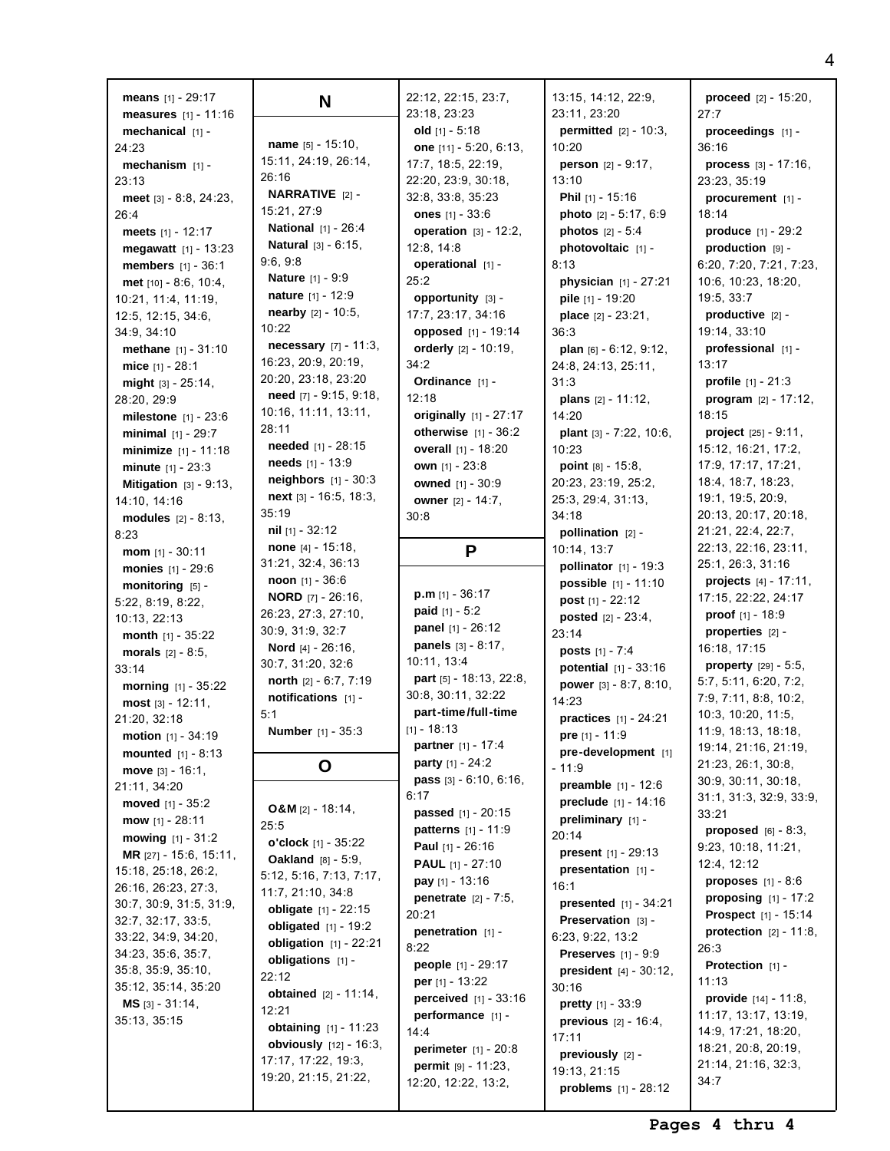**means** [1] - 29:17 **measures** [1] - 11:16 **mechanical** [1] - 24:23 **mechanism** [1] - 23:13 **meet** [3] - 8:8, 24:23, 26:4 **meets** [1] - 12:17 **megawatt** [1] - 13:23 **members** [1] - 36:1 **met** [10] - 8:6, 10:4, 10:21, 11:4, 11:19, 12:5, 12:15, 34:6, 34:9, 34:10 **methane** [1] - 31:10 **mice** [1] - 28:1 **might** [3] - 25:14, 28:20, 29:9 **milestone** [1] - 23:6 **minimal** [1] - 29:7 **minimize** [1] - 11:18 **minute** [1] - 23:3 **Mitigation** [3] - 9:13, 14:10, 14:16 **modules** [2] - 8:13, 8:23 **mom** [1] - 30:11 **monies** [1] - 29:6 **monitoring** [5] -5:22, 8:19, 8:22, 10:13, 22:13 **month** [1] - 35:22 **morals** [2] - 8:5, 33:14 **morning** [1] - 35:22 **most** [3] - 12:11, 21:20, 32:18 **motion** [1] - 34:19 **mounted** [1] - 8:13 **move** [3] - 16:1, 21:11, 34:20 **moved** [1] - 35:2 **mow** [1] - 28:11 **mowing** [1] - 31:2 **MR** [27] - 15:6, 15:11, 15:18, 25:18, 26:2, 26:16, 26:23, 27:3, 30:7, 30:9, 31:5, 31:9, 32:7, 32:17, 33:5, 33:22, 34:9, 34:20, 34:23, 35:6, 35:7, 35:8, 35:9, 35:10, 35:12, 35:14, 35:20 **MS** [3] - 31:14, 35:13, 35:15

**N name** [5] - 15:10, 15:11, 24:19, 26:14, 26:16 **NARRATIVE** [2] - 15:21, 27:9 **National** [1] - 26:4 **Natural** [3] - 6:15, 9:6, 9:8 **Nature** [1] - 9:9 **nature** [1] - 12:9 **nearby** [2] - 10:5,  $10.22$ **necessary** [7] - 11:3, 16:23, 20:9, 20:19, 20:20, 23:18, 23:20 **need** [7] - 9:15, 9:18, 10:16, 11:11, 13:11, 28:11 **needed** [1] - 28:15 **needs** [1] - 13:9 **neighbors** [1] - 30:3 **next** [3] - 16:5, 18:3, 35:19 **nil** [1] - 32:12 **none** [4] - 15:18, 31:21, 32:4, 36:13 **noon** [1] - 36:6 **NORD** [7] - 26:16, 26:23, 27:3, 27:10, 30:9, 31:9, 32:7 **Nord** [4] - 26:16, 30:7, 31:20, 32:6 **north** [2] - 6:7, 7:19 **notifications** [1] - 5:1 **Number** [1] - 35:3 **O O&M** [2] - 18:14, 25:5 **o'clock** [1] - 35:22 **Oakland** [8] - 5:9, 5:12, 5:16, 7:13, 7:17, 11:7, 21:10, 34:8 **obligate** [1] - 22:15 **obligated** [1] - 19:2 **obligation** [1] - 22:21 **obligations** [1] - 22:12 **obtained** [2] - 11:14, 12:21 **obtaining** [1] - 11:23 **obviously** [12] - 16:3, 17:17, 17:22, 19:3,

19:20, 21:15, 21:22,

22:12, 22:15, 23:7, 23:18, 23:23 **old** [1] - 5:18 **one** [11] - 5:20, 6:13, 17:7, 18:5, 22:19, 22:20, 23:9, 30:18, 32:8, 33:8, 35:23 **ones** [1] - 33:6 **operation** [3] - 12:2, 12:8, 14:8 **operational** [1] - 25:2 **opportunity** [3] - 17:7, 23:17, 34:16 **opposed** [1] - 19:14 **orderly** [2] - 10:19, 34:2 **Ordinance** [1] -  $12.18$ **originally** [1] - 27:17 **otherwise** [1] - 36:2 **overall** [1] - 18:20 **own** [1] - 23:8 **owned** [1] - 30:9 **owner** [2] - 14:7, 30:8 **P p.m** [1] - 36:17 **paid** [1] - 5:2 **panel** [1] - 26:12 **panels** [3] - 8:17, 10:11, 13:4 **part** [5] - 18:13, 22:8, 30:8, 30:11, 32:22 **part-time/full-time**  $[1] - 18:13$ **partner** [1] - 17:4 **party** [1] - 24:2 **pass** [3] - 6:10, 6:16,  $6:17$ **passed** [1] - 20:15 **patterns** [1] - 11:9 **Paul** [1] - 26:16 **PAUL** [1] - 27:10 **pay** [1] - 13:16 **penetrate** [2] - 7:5, 20:21 **penetration** [1] -  $8.22$ **people** [1] - 29:17 **per** [1] - 13:22 **perceived** [1] - 33:16 **performance** [1] -  $14.4$ **perimeter** [1] - 20:8 **permit** [9] - 11:23, 12:20, 12:22, 13:2,

13:15, 14:12, 22:9, 23:11, 23:20 **permitted** [2] - 10:3, 10:20 **person** [2] - 9:17,  $13:10$ **Phil** [1] - 15:16 **photo** [2] - 5:17, 6:9 **photos** [2] - 5:4 **photovoltaic** [1] - 8:13 **physician** [1] - 27:21 **pile** [1] - 19:20 **place** [2] - 23:21, 36:3 **plan** [6] - 6:12, 9:12, 24:8, 24:13, 25:11, 31:3 **plans** [2] - 11:12, 14:20 **plant** [3] - 7:22, 10:6,  $10.23$ **point** [8] - 15:8, 20:23, 23:19, 25:2, 25:3, 29:4, 31:13, 34:18 **pollination** [2] - 10:14, 13:7 **pollinator** [1] - 19:3 **possible** [1] - 11:10 **post** [1] - 22:12 **posted** [2] - 23:4, 23:14 **posts** [1] - 7:4 **potential** [1] - 33:16 **power** [3] - 8:7, 8:10, 14:23 **practices** [1] - 24:21 **pre** [1] - 11:9 **pre-development** [1]  $-11.9$ **preamble** [1] - 12:6 **preclude** [1] - 14:16 **preliminary** [1] - 20:14 **present** [1] - 29:13 **presentation** [1] - 16:1 **presented** [1] - 34:21 **Preservation** [3] - 6:23, 9:22, 13:2 **Preserves** [1] - 9:9 **president** [4] - 30:12, 30:16 **pretty** [1] - 33:9 **previous** [2] - 16:4, 17:11 **previously** [2] - 19:13, 21:15 **problems** [1] - 28:12

**proceed** [2] - 15:20,  $27.7$ **proceedings** [1] - 36:16 **process** [3] - 17:16, 23:23, 35:19 **procurement** [1] - 18:14 **produce** [1] - 29:2 **production** [9] - 6:20, 7:20, 7:21, 7:23, 10:6, 10:23, 18:20, 19:5, 33:7 **productive** [2] - 19:14, 33:10 **professional** [1] - 13:17 **profile** [1] - 21:3 **program** [2] - 17:12, 18:15 **project** [25] - 9:11, 15:12, 16:21, 17:2, 17:9, 17:17, 17:21, 18:4, 18:7, 18:23, 19:1, 19:5, 20:9, 20:13, 20:17, 20:18, 21:21, 22:4, 22:7, 22:13, 22:16, 23:11, 25:1, 26:3, 31:16 **projects** [4] - 17:11, 17:15, 22:22, 24:17 **proof** [1] - 18:9 **properties** [2] - 16:18, 17:15 **property** [29] - 5:5, 5:7, 5:11, 6:20, 7:2, 7:9, 7:11, 8:8, 10:2, 10:3, 10:20, 11:5, 11:9, 18:13, 18:18, 19:14, 21:16, 21:19, 21:23, 26:1, 30:8, 30:9, 30:11, 30:18, 31:1, 31:3, 32:9, 33:9, 33:21 **proposed** [6] - 8:3, 9:23, 10:18, 11:21, 12:4, 12:12 **proposes** [1] - 8:6 **proposing** [1] - 17:2 **Prospect** [1] - 15:14 **protection** [2] - 11:8, 26:3 **Protection** [1] - 11:13 **provide** [14] - 11:8, 11:17, 13:17, 13:19, 14:9, 17:21, 18:20, 18:21, 20:8, 20:19, 21:14, 21:16, 32:3, 34:7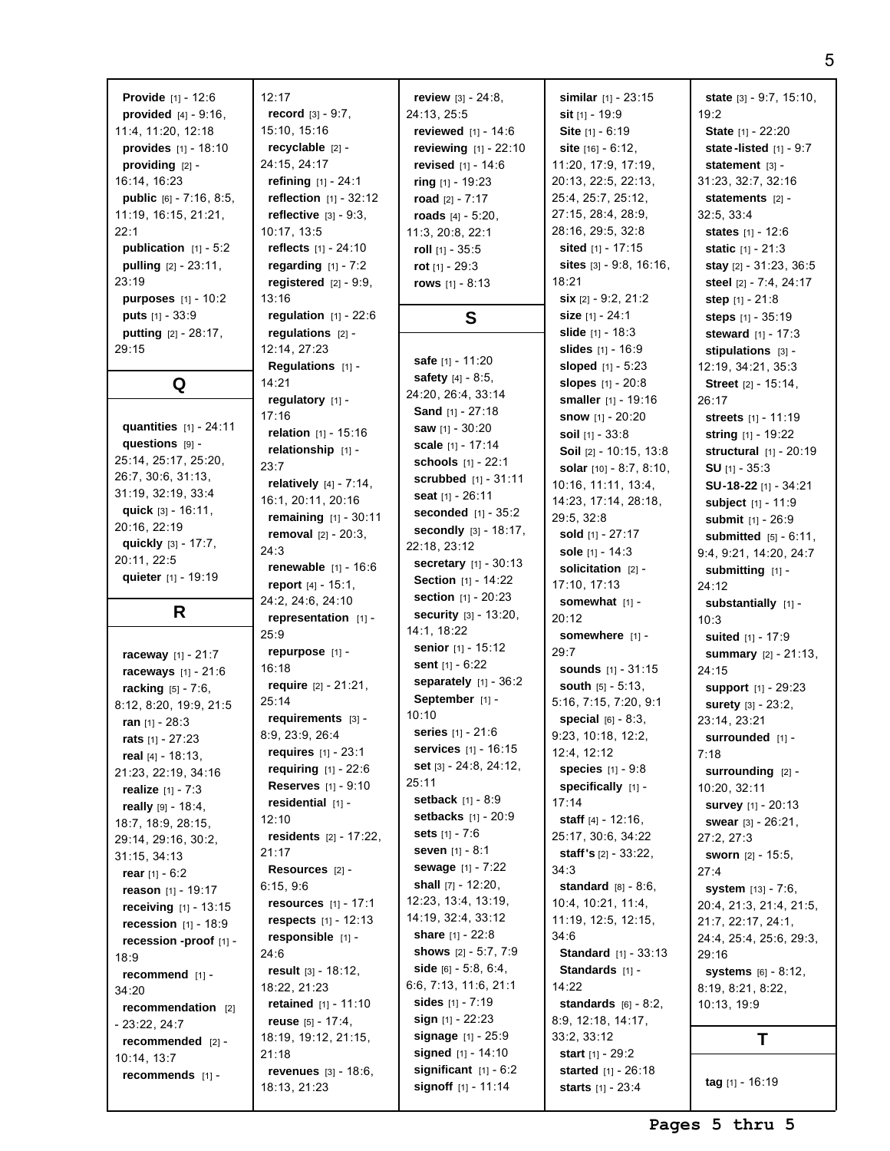| <b>Provide</b> $[1] - 12:6$      | 12:17                            | review $[3] - 24:8$ ,                          | similar $[1] - 23:15$          | state $[3] - 9:7, 15:10,$     |
|----------------------------------|----------------------------------|------------------------------------------------|--------------------------------|-------------------------------|
| <b>provided</b> $[4] - 9:16$ ,   | <b>record</b> $[3] - 9:7$ ,      | 24:13, 25:5                                    | <b>sit</b> $[1]$ - 19:9        | 19:2                          |
| 11:4, 11:20, 12:18               | 15:10, 15:16                     | reviewed $[1] - 14:6$                          | Site [1] - 6:19                | State [1] - 22:20             |
|                                  | recyclable [2] -                 |                                                |                                |                               |
| provides [1] - 18:10             |                                  | reviewing [1] - 22:10                          | site $[16] - 6:12$ ,           | state-listed $[1] - 9:7$      |
| providing [2] -                  | 24:15, 24:17                     | revised [1] - 14:6                             | 11:20, 17:9, 17:19,            | statement $[3]$ -             |
| 16:14, 16:23                     | refining $[1] - 24:1$            | ring $[1]$ - 19:23                             | 20:13, 22:5, 22:13,            | 31:23, 32:7, 32:16            |
| <b>public</b> $[6] - 7:16, 8:5,$ | reflection $[1] - 32:12$         | road $[2] - 7:17$                              | 25:4, 25:7, 25:12,             | statements $[2]$ -            |
| 11:19, 16:15, 21:21,             | reflective $[3] - 9:3$ ,         | roads $[4] - 5:20$ ,                           | 27:15, 28:4, 28:9,             | 32:5, 33:4                    |
| 22:1                             | 10:17, 13:5                      | 11:3, 20:8, 22:1                               | 28:16, 29:5, 32:8              | <b>states</b> $[1] - 12:6$    |
| publication $[1] - 5:2$          | <b>reflects</b> $[1] - 24:10$    | roll $[1] - 35:5$                              | sited $[1]$ - 17:15            | <b>static</b> $[1] - 21:3$    |
| pulling [2] - 23:11,             | regarding $[1]$ - 7:2            | rot $[1] - 29:3$                               | sites $[3] - 9.8, 16.16,$      | stay [2] - 31:23, 36:5        |
| 23:19                            | registered $[2] - 9:9$ ,         | rows $[1] - 8:13$                              | 18:21                          | steel [2] - 7:4, 24:17        |
| <b>purposes</b> $[1] - 10:2$     | 13:16                            |                                                | six [2] - 9:2, 21:2            | step $[1] - 21:8$             |
| <b>puts</b> $[1] - 33:9$         | regulation $[1] - 22:6$          |                                                | size $[1] - 24:1$              |                               |
|                                  |                                  | S                                              |                                | <b>steps</b> $[1] - 35:19$    |
| <b>putting</b> $[2] - 28:17$ ,   | regulations $[2]$ -              |                                                | <b>slide</b> $[1] - 18:3$      | steward $[1] - 17:3$          |
| 29:15                            | 12:14, 27:23                     | <b>safe</b> [1] - 11:20                        | <b>slides</b> $[1] - 16:9$     | stipulations $[3]$ -          |
|                                  | Regulations $[1]$ -              | safety $[4] - 8:5$ ,                           | sloped $[1] - 5:23$            | 12:19, 34:21, 35:3            |
| Q                                | 14:21                            | 24:20, 26:4, 33:14                             | slopes [1] - 20:8              | Street [2] - 15:14,           |
|                                  | regulatory [1] -                 |                                                | smaller [1] - 19:16            | 26:17                         |
|                                  | 17:16                            | <b>Sand</b> $[1] - 27:18$                      | <b>snow</b> [1] - 20:20        | streets [1] - 11:19           |
| quantities $[1] - 24:11$         | relation $[1] - 15:16$           | saw $[1] - 30:20$                              | soil $[1] - 33:8$              | string [1] - 19:22            |
| questions [9] -                  | relationship [1] -               | scale [1] - 17:14                              | Soil [2] - 10:15, 13:8         | structural $[1]$ - 20:19      |
| 25:14, 25:17, 25:20,             | 23:7                             | schools [1] - 22:1                             | solar $[10] - 8:7, 8:10,$      | <b>SU</b> $[1]$ - 35:3        |
| 26:7, 30:6, 31:13,               | <b>relatively</b> $[4] - 7:14$ , | <b>scrubbed</b> $[1] - 31:11$                  | 10:16, 11:11, 13:4,            | SU-18-22 [1] - 34:21          |
| 31:19, 32:19, 33:4               | 16:1, 20:11, 20:16               | seat [1] - 26:11                               | 14:23, 17:14, 28:18,           |                               |
| quick $[3] - 16:11$ ,            | remaining [1] - 30:11            | <b>seconded</b> $[1] - 35:2$                   | 29:5, 32:8                     | subject [1] - 11:9            |
| 20:16, 22:19                     |                                  | secondly [3] - 18:17,                          |                                | submit [1] - 26:9             |
| quickly $[3] - 17:7$ ,           | <b>removal</b> $[2] - 20:3$ ,    | 22:18, 23:12                                   | sold [1] - 27:17               | submitted $[5] - 6:11$ ,      |
| 20:11, 22:5                      | 24:3                             | <b>secretary</b> $[1] - 30:13$                 | sole $[1] - 14:3$              | 9:4, 9:21, 14:20, 24:7        |
| quieter [1] - 19:19              | <b>renewable</b> $[1] - 16:6$    |                                                | solicitation $[2]$ -           | submitting [1] -              |
|                                  | report [4] - 15:1,               | <b>Section</b> [1] - 14:22                     | 17:10, 17:13                   | 24:12                         |
|                                  | 24:2, 24:6, 24:10                | section [1] - 20:23                            | somewhat [1] -                 | substantially [1] -           |
|                                  |                                  |                                                |                                |                               |
| R                                | representation [1] -             | security [3] - 13:20,                          | 20:12                          | 10:3                          |
|                                  | 25:9                             | 14:1, 18:22                                    | somewhere $[1]$ -              | <b>suited</b> $[1] - 17:9$    |
|                                  | repurpose [1] -                  | <b>senior</b> $[1] - 15:12$                    | 29:7                           |                               |
| raceway [1] - 21:7               | 16:18                            | sent $[1] - 6:22$                              | <b>sounds</b> [1] - 31:15      | summary [2] - 21:13,          |
| raceways [1] - 21:6              |                                  | separately $[1]$ - 36:2                        |                                | 24:15                         |
| racking [5] - 7:6,               | require $[2] - 21:21$ ,          | September [1] -                                | <b>south</b> $[5] - 5:13$ ,    | <b>support</b> [1] - 29:23    |
| 8:12, 8:20, 19:9, 21:5           | 25:14                            | 10:10                                          | 5:16, 7:15, 7:20, 9:1          | surety [3] - 23:2,            |
| ran $[1] - 28:3$                 | requirements $[3]$ -             |                                                | <b>special</b> $[6] - 8:3$ ,   | 23:14, 23:21                  |
| rats $[1] - 27:23$               | 8:9, 23:9, 26:4                  | series [1] - 21:6                              | 9:23, 10:18, 12:2,             | surrounded [1] -              |
| real $[4] - 18:13$ ,             | requires $[1] - 23:1$            | <b>services</b> $[1]$ - 16:15                  | 12:4, 12:12                    | 7:18                          |
| 21:23, 22:19, 34:16              | <b>requiring</b> $[1] - 22:6$    | set [3] - 24:8, 24:12,                         | <b>species</b> $[1] - 9:8$     | surrounding [2] -             |
| <b>realize</b> $[1] - 7:3$       | <b>Reserves</b> [1] - 9:10       | 25:11                                          | specifically [1] -             | 10:20, 32:11                  |
| <b>really</b> $[9] - 18:4$       | residential [1] -                | <b>setback</b> $[1] - 8:9$                     | 17:14                          | <b>survey</b> [1] - 20:13     |
| 18:7, 18:9, 28:15,               | 12:10                            | <b>setbacks</b> $[1] - 20:9$                   | staff $[4] - 12:16$ ,          | <b>swear</b> $[3] - 26:21$ ,  |
| 29:14, 29:16, 30:2,              | <b>residents</b> $[2] - 17:22$ , | sets $[1] - 7:6$                               | 25:17, 30:6, 34:22             | 27:2, 27:3                    |
| 31:15, 34:13                     | 21:17                            | <b>seven</b> $[1]$ - 8:1                       | <b>staff's</b> $[2] - 33:22$ , | <b>sworn</b> $[2] - 15:5$ ,   |
| rear $[1] - 6:2$                 | Resources [2] -                  | sewage [1] - 7:22                              | 34:3                           | 27:4                          |
|                                  | 6:15, 9:6                        | shall $[7] - 12:20$ ,                          | <b>standard</b> $[8] - 8:6$    | system [13] - 7:6,            |
| reason $[1] - 19:17$             | <b>resources</b> $[1] - 17:1$    | 12:23, 13:4, 13:19,                            | 10:4, 10:21, 11:4,             |                               |
| <b>receiving</b> $[1] - 13:15$   |                                  | 14:19, 32:4, 33:12                             | 11:19, 12:5, 12:15,            | 20:4, 21:3, 21:4, 21:5,       |
| <b>recession</b> $[1] - 18:9$    | <b>respects</b> $[1] - 12:13$    | <b>share</b> [1] - 22:8                        |                                | 21:7, 22:17, 24:1,            |
| recession -proof [1] -           | responsible [1] -                | shows $[2] - 5:7, 7:9$                         | 34:6                           | 24:4, 25:4, 25:6, 29:3,       |
| 18:9                             | 24:6                             |                                                | <b>Standard</b> [1] - 33:13    | 29:16                         |
| recommend $[1]$ -                | result $[3] - 18:12$ ,           | side $[6] - 5.8, 6.4,$                         | Standards [1] -                | <b>systems</b> $[6] - 8:12$ , |
| 34:20                            | 18:22, 21:23                     | 6:6, 7:13, 11:6, 21:1                          | 14:22                          | 8:19, 8:21, 8:22,             |
| recommendation [2]               | retained $[1] - 11:10$           | sides $[1] - 7:19$                             | <b>standards</b> $[6] - 8:2$ , | 10:13, 19:9                   |
| $-23:22, 24:7$                   | reuse $[5] - 17:4$ ,             | sign [1] - 22:23                               | 8:9, 12:18, 14:17,             |                               |
| recommended $[2]$ -              | 18:19, 19:12, 21:15,             | <b>signage</b> $[1] - 25:9$                    | 33:2, 33:12                    | Τ                             |
| 10:14, 13:7                      | 21:18                            | signed $[1] - 14:10$                           | start [1] - 29:2               |                               |
| recommends [1] -                 | <b>revenues</b> $[3] - 18:6$ ,   | significant $[1] - 6:2$<br>signoff [1] - 11:14 | <b>started</b> $[1] - 26:18$   | tag $[1] - 16:19$             |